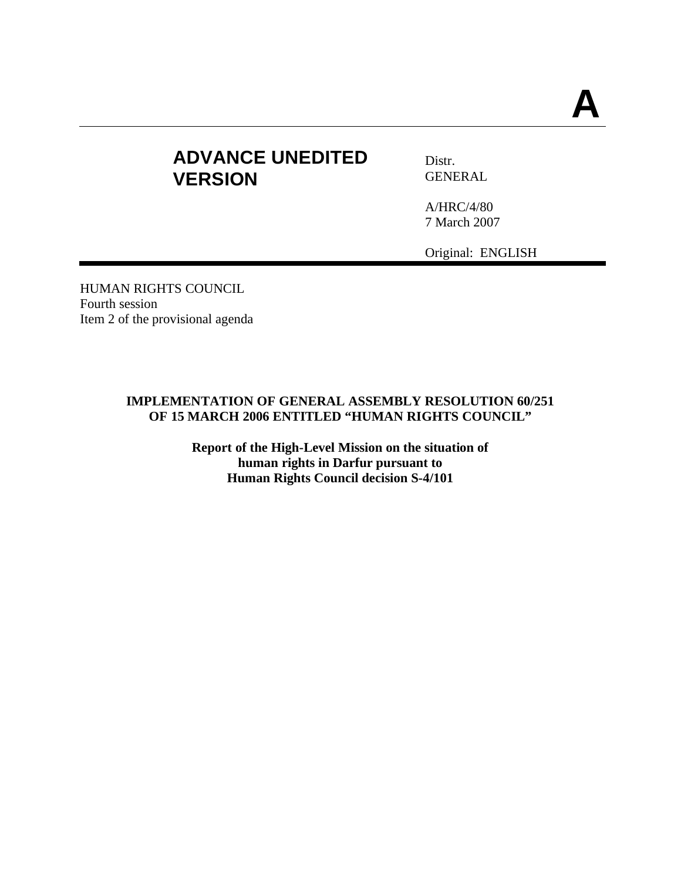# **ADVANCE UNEDITED VERSION**

Distr. GENERAL

A/HRC/4/80 7 March 2007

Original: ENGLISH

HUMAN RIGHTS COUNCIL Fourth session Item 2 of the provisional agenda

### **IMPLEMENTATION OF GENERAL ASSEMBLY RESOLUTION 60/251 OF 15 MARCH 2006 ENTITLED "HUMAN RIGHTS COUNCIL"**

**Report of the High-Level Mission on the situation of human rights in Darfur pursuant to Human Rights Council decision S-4/101**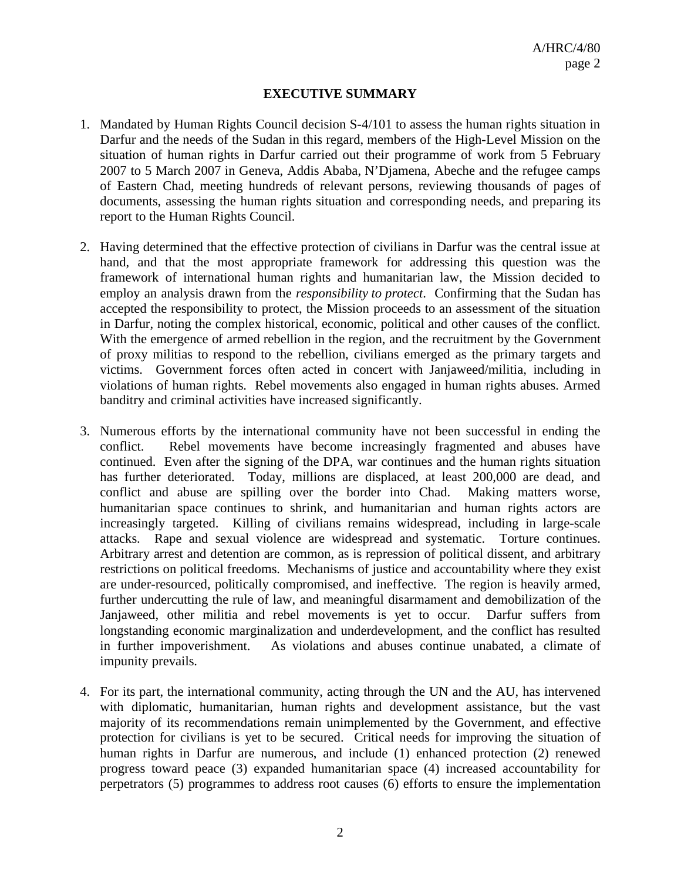#### **EXECUTIVE SUMMARY**

- 1. Mandated by Human Rights Council decision S-4/101 to assess the human rights situation in Darfur and the needs of the Sudan in this regard, members of the High-Level Mission on the situation of human rights in Darfur carried out their programme of work from 5 February 2007 to 5 March 2007 in Geneva, Addis Ababa, N'Djamena, Abeche and the refugee camps of Eastern Chad, meeting hundreds of relevant persons, reviewing thousands of pages of documents, assessing the human rights situation and corresponding needs, and preparing its report to the Human Rights Council.
- 2. Having determined that the effective protection of civilians in Darfur was the central issue at hand, and that the most appropriate framework for addressing this question was the framework of international human rights and humanitarian law, the Mission decided to employ an analysis drawn from the *responsibility to protect*. Confirming that the Sudan has accepted the responsibility to protect, the Mission proceeds to an assessment of the situation in Darfur, noting the complex historical, economic, political and other causes of the conflict. With the emergence of armed rebellion in the region, and the recruitment by the Government of proxy militias to respond to the rebellion, civilians emerged as the primary targets and victims. Government forces often acted in concert with Janjaweed/militia, including in violations of human rights. Rebel movements also engaged in human rights abuses. Armed banditry and criminal activities have increased significantly.
- 3. Numerous efforts by the international community have not been successful in ending the conflict. Rebel movements have become increasingly fragmented and abuses have continued. Even after the signing of the DPA, war continues and the human rights situation has further deteriorated. Today, millions are displaced, at least 200,000 are dead, and conflict and abuse are spilling over the border into Chad. Making matters worse, humanitarian space continues to shrink, and humanitarian and human rights actors are increasingly targeted. Killing of civilians remains widespread, including in large-scale attacks. Rape and sexual violence are widespread and systematic. Torture continues. Arbitrary arrest and detention are common, as is repression of political dissent, and arbitrary restrictions on political freedoms.Mechanisms of justice and accountability where they exist are under-resourced, politically compromised, and ineffective. The region is heavily armed, further undercutting the rule of law, and meaningful disarmament and demobilization of the Janjaweed, other militia and rebel movements is yet to occur. Darfur suffers from longstanding economic marginalization and underdevelopment, and the conflict has resulted in further impoverishment. As violations and abuses continue unabated, a climate of impunity prevails.
- 4. For its part, the international community, acting through the UN and the AU, has intervened with diplomatic, humanitarian, human rights and development assistance, but the vast majority of its recommendations remain unimplemented by the Government, and effective protection for civilians is yet to be secured. Critical needs for improving the situation of human rights in Darfur are numerous, and include (1) enhanced protection (2) renewed progress toward peace (3) expanded humanitarian space (4) increased accountability for perpetrators (5) programmes to address root causes (6) efforts to ensure the implementation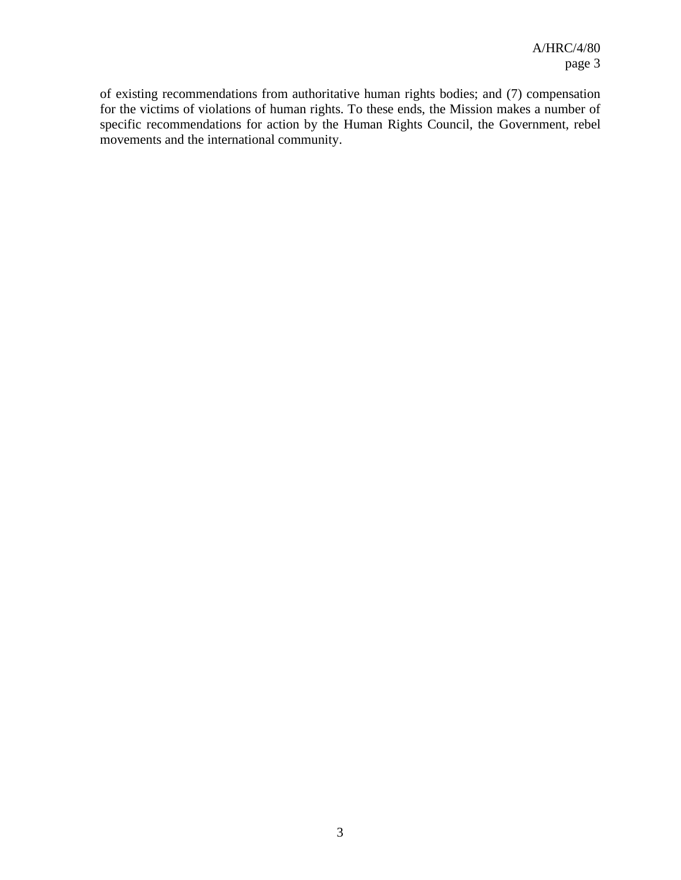of existing recommendations from authoritative human rights bodies; and (7) compensation for the victims of violations of human rights. To these ends, the Mission makes a number of specific recommendations for action by the Human Rights Council, the Government, rebel movements and the international community.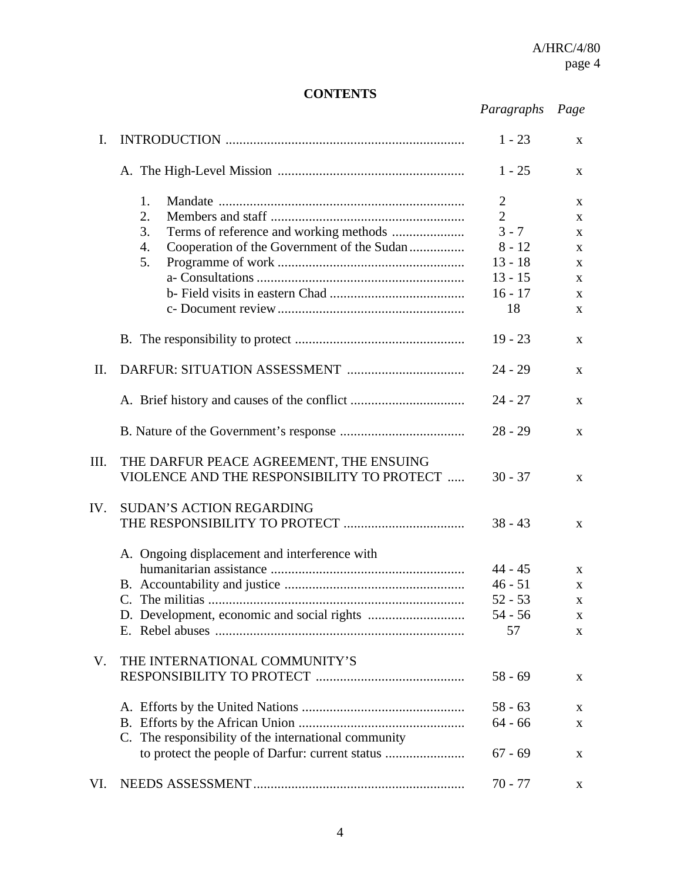## **CONTENTS**

| Paragraphs | Page |
|------------|------|
|------------|------|

| I.   |                                                                                                                    | $1 - 23$                                                                                     | X                                                                          |
|------|--------------------------------------------------------------------------------------------------------------------|----------------------------------------------------------------------------------------------|----------------------------------------------------------------------------|
|      |                                                                                                                    | $1 - 25$                                                                                     | $\mathbf{X}$                                                               |
|      | 1.<br>2.<br>Terms of reference and working methods<br>3.<br>Cooperation of the Government of the Sudan<br>4.<br>5. | $\mathbf{2}$<br>$\overline{2}$<br>$3 - 7$<br>$8 - 12$<br>$13 - 18$<br>$13 - 15$<br>$16 - 17$ | X<br>X<br>$\mathbf{X}$<br>$\mathbf X$<br>$\mathbf{X}$<br>$\mathbf{X}$<br>X |
|      |                                                                                                                    | 18                                                                                           | $\mathbf{x}$                                                               |
|      |                                                                                                                    | $19 - 23$                                                                                    | X                                                                          |
| II.  |                                                                                                                    | $24 - 29$                                                                                    | $\mathbf{X}$                                                               |
|      |                                                                                                                    | $24 - 27$                                                                                    | X                                                                          |
|      |                                                                                                                    | $28 - 29$                                                                                    | $\mathbf{X}$                                                               |
| III. | THE DARFUR PEACE AGREEMENT, THE ENSUING<br>VIOLENCE AND THE RESPONSIBILITY TO PROTECT                              | $30 - 37$                                                                                    | $\mathbf{X}$                                                               |
| IV.  | <b>SUDAN'S ACTION REGARDING</b>                                                                                    | $38 - 43$                                                                                    | $\mathbf{X}$                                                               |
|      | A. Ongoing displacement and interference with                                                                      |                                                                                              |                                                                            |
|      |                                                                                                                    | $44 - 45$                                                                                    | X                                                                          |
|      |                                                                                                                    | $46 - 51$                                                                                    | X                                                                          |
|      |                                                                                                                    | $52 - 53$                                                                                    | X                                                                          |
|      |                                                                                                                    | $54 - 56$                                                                                    | X                                                                          |
|      |                                                                                                                    | 57                                                                                           | X                                                                          |
| V.   | THE INTERNATIONAL COMMUNITY'S                                                                                      |                                                                                              |                                                                            |
|      |                                                                                                                    | $58 - 69$                                                                                    | X                                                                          |
|      |                                                                                                                    | $58 - 63$                                                                                    | X                                                                          |
|      |                                                                                                                    | $64 - 66$                                                                                    | $\mathbf X$                                                                |
|      | C. The responsibility of the international community                                                               |                                                                                              |                                                                            |
|      | to protect the people of Darfur: current status                                                                    | $67 - 69$                                                                                    | X                                                                          |
| VI.  |                                                                                                                    | $70 - 77$                                                                                    | X                                                                          |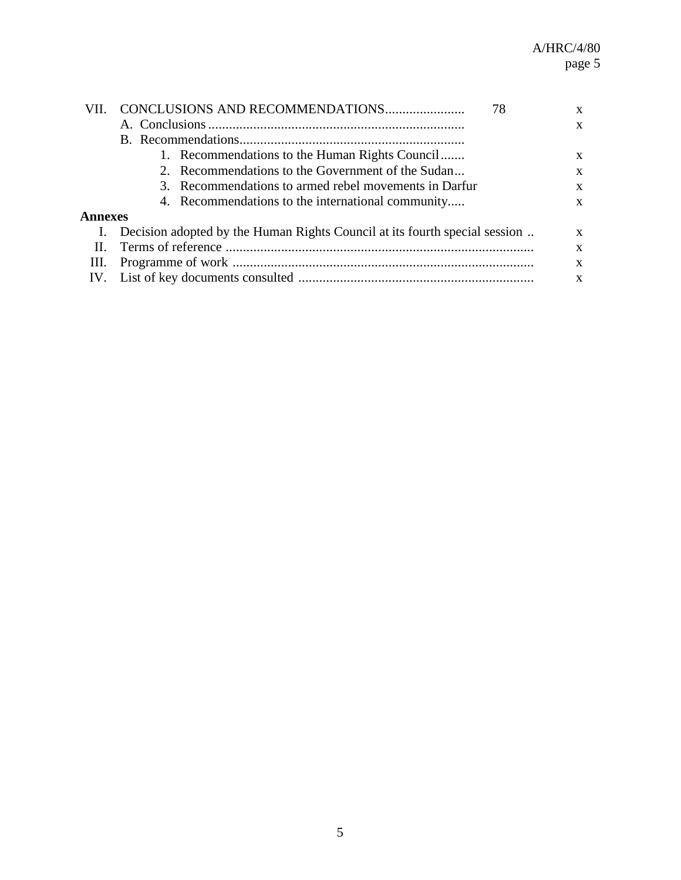|                | 78                                                                             | X |
|----------------|--------------------------------------------------------------------------------|---|
|                |                                                                                | X |
|                |                                                                                |   |
|                | 1. Recommendations to the Human Rights Council                                 | X |
|                | 2. Recommendations to the Government of the Sudan                              | X |
|                | 3. Recommendations to armed rebel movements in Darfur                          | X |
|                | 4. Recommendations to the international community                              | X |
| <b>Annexes</b> |                                                                                |   |
|                | I. Decision adopted by the Human Rights Council at its fourth special session. | X |
|                |                                                                                | X |
|                | X                                                                              |   |
|                | X                                                                              |   |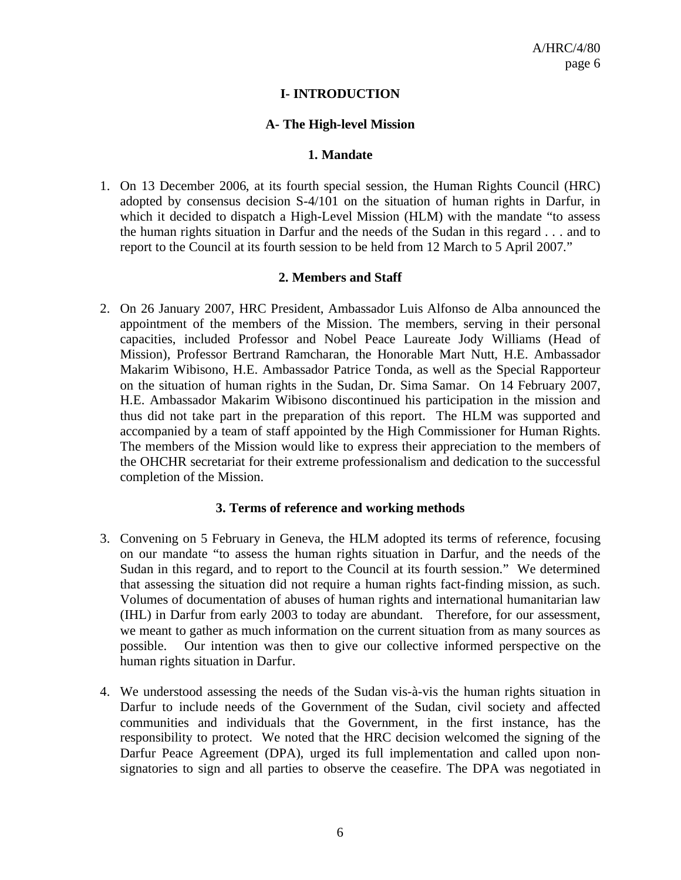### **I- INTRODUCTION**

### **A- The High-level Mission**

#### **1. Mandate**

1. On 13 December 2006, at its fourth special session, the Human Rights Council (HRC) adopted by consensus decision S-4/101 on the situation of human rights in Darfur, in which it decided to dispatch a High-Level Mission (HLM) with the mandate "to assess the human rights situation in Darfur and the needs of the Sudan in this regard . . . and to report to the Council at its fourth session to be held from 12 March to 5 April 2007."

#### **2. Members and Staff**

2. On 26 January 2007, HRC President, Ambassador Luis Alfonso de Alba announced the appointment of the members of the Mission. The members, serving in their personal capacities, included Professor and Nobel Peace Laureate Jody Williams (Head of Mission), Professor Bertrand Ramcharan, the Honorable Mart Nutt, H.E. Ambassador Makarim Wibisono, H.E. Ambassador Patrice Tonda, as well as the Special Rapporteur on the situation of human rights in the Sudan, Dr. Sima Samar. On 14 February 2007, H.E. Ambassador Makarim Wibisono discontinued his participation in the mission and thus did not take part in the preparation of this report. The HLM was supported and accompanied by a team of staff appointed by the High Commissioner for Human Rights. The members of the Mission would like to express their appreciation to the members of the OHCHR secretariat for their extreme professionalism and dedication to the successful completion of the Mission.

#### **3. Terms of reference and working methods**

- 3. Convening on 5 February in Geneva, the HLM adopted its terms of reference, focusing on our mandate "to assess the human rights situation in Darfur, and the needs of the Sudan in this regard, and to report to the Council at its fourth session." We determined that assessing the situation did not require a human rights fact-finding mission, as such. Volumes of documentation of abuses of human rights and international humanitarian law (IHL) in Darfur from early 2003 to today are abundant. Therefore, for our assessment, we meant to gather as much information on the current situation from as many sources as possible. Our intention was then to give our collective informed perspective on the human rights situation in Darfur.
- 4. We understood assessing the needs of the Sudan vis-à-vis the human rights situation in Darfur to include needs of the Government of the Sudan, civil society and affected communities and individuals that the Government, in the first instance, has the responsibility to protect. We noted that the HRC decision welcomed the signing of the Darfur Peace Agreement (DPA), urged its full implementation and called upon nonsignatories to sign and all parties to observe the ceasefire. The DPA was negotiated in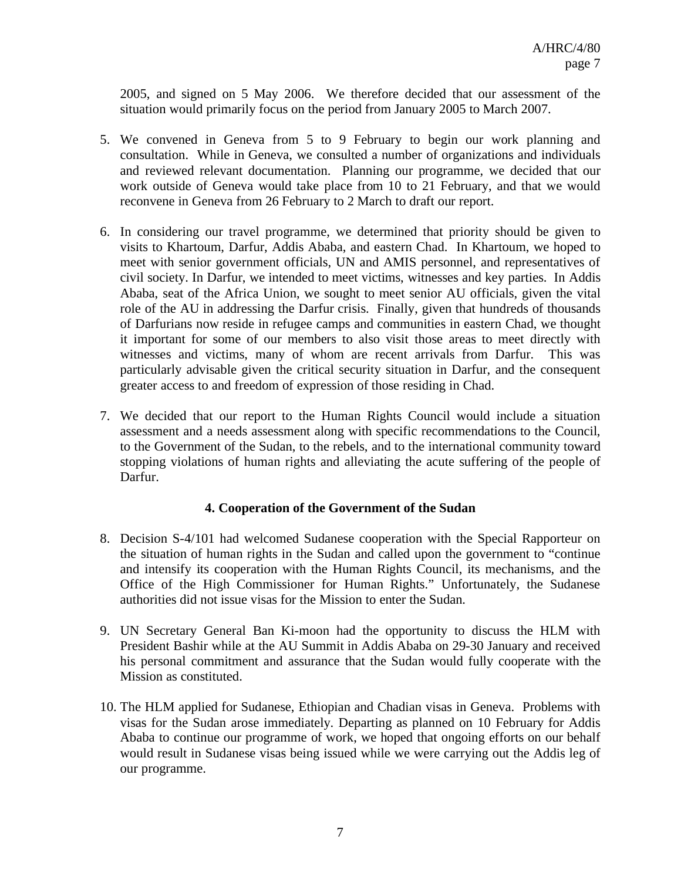2005, and signed on 5 May 2006. We therefore decided that our assessment of the situation would primarily focus on the period from January 2005 to March 2007.

- 5. We convened in Geneva from 5 to 9 February to begin our work planning and consultation. While in Geneva, we consulted a number of organizations and individuals and reviewed relevant documentation. Planning our programme, we decided that our work outside of Geneva would take place from 10 to 21 February, and that we would reconvene in Geneva from 26 February to 2 March to draft our report.
- 6. In considering our travel programme, we determined that priority should be given to visits to Khartoum, Darfur, Addis Ababa, and eastern Chad. In Khartoum, we hoped to meet with senior government officials, UN and AMIS personnel, and representatives of civil society. In Darfur, we intended to meet victims, witnesses and key parties. In Addis Ababa, seat of the Africa Union, we sought to meet senior AU officials, given the vital role of the AU in addressing the Darfur crisis. Finally, given that hundreds of thousands of Darfurians now reside in refugee camps and communities in eastern Chad, we thought it important for some of our members to also visit those areas to meet directly with witnesses and victims, many of whom are recent arrivals from Darfur. This was particularly advisable given the critical security situation in Darfur, and the consequent greater access to and freedom of expression of those residing in Chad.
- 7. We decided that our report to the Human Rights Council would include a situation assessment and a needs assessment along with specific recommendations to the Council, to the Government of the Sudan, to the rebels, and to the international community toward stopping violations of human rights and alleviating the acute suffering of the people of Darfur.

## **4. Cooperation of the Government of the Sudan**

- 8. Decision S-4/101 had welcomed Sudanese cooperation with the Special Rapporteur on the situation of human rights in the Sudan and called upon the government to "continue and intensify its cooperation with the Human Rights Council, its mechanisms, and the Office of the High Commissioner for Human Rights." Unfortunately, the Sudanese authorities did not issue visas for the Mission to enter the Sudan.
- 9. UN Secretary General Ban Ki-moon had the opportunity to discuss the HLM with President Bashir while at the AU Summit in Addis Ababa on 29-30 January and received his personal commitment and assurance that the Sudan would fully cooperate with the Mission as constituted.
- 10. The HLM applied for Sudanese, Ethiopian and Chadian visas in Geneva. Problems with visas for the Sudan arose immediately. Departing as planned on 10 February for Addis Ababa to continue our programme of work, we hoped that ongoing efforts on our behalf would result in Sudanese visas being issued while we were carrying out the Addis leg of our programme.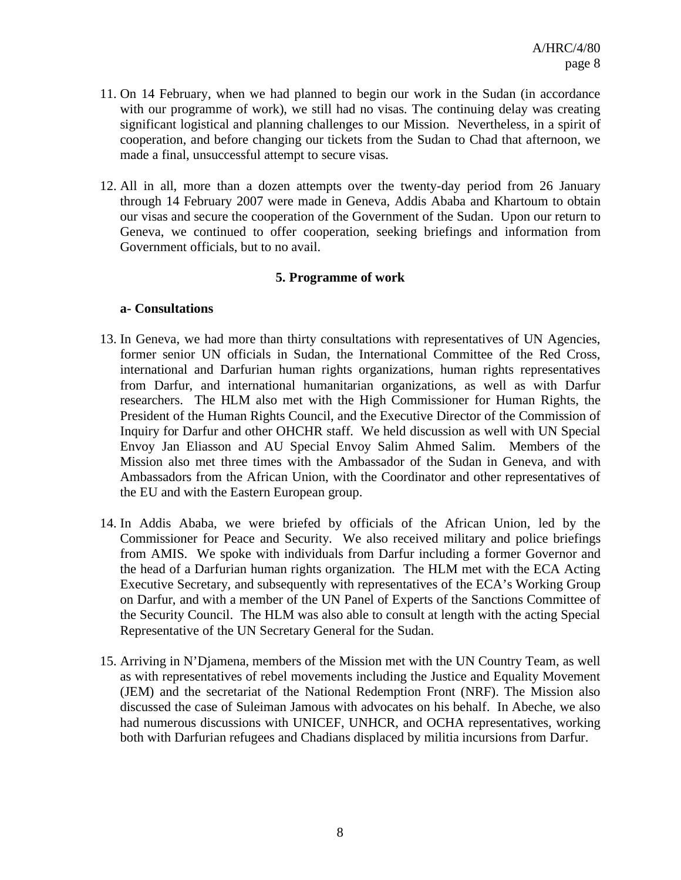- 11. On 14 February, when we had planned to begin our work in the Sudan (in accordance with our programme of work), we still had no visas. The continuing delay was creating significant logistical and planning challenges to our Mission. Nevertheless, in a spirit of cooperation, and before changing our tickets from the Sudan to Chad that afternoon, we made a final, unsuccessful attempt to secure visas.
- 12. All in all, more than a dozen attempts over the twenty-day period from 26 January through 14 February 2007 were made in Geneva, Addis Ababa and Khartoum to obtain our visas and secure the cooperation of the Government of the Sudan. Upon our return to Geneva, we continued to offer cooperation, seeking briefings and information from Government officials, but to no avail.

#### **5. Programme of work**

#### **a- Consultations**

- 13. In Geneva, we had more than thirty consultations with representatives of UN Agencies, former senior UN officials in Sudan, the International Committee of the Red Cross, international and Darfurian human rights organizations, human rights representatives from Darfur, and international humanitarian organizations, as well as with Darfur researchers. The HLM also met with the High Commissioner for Human Rights, the President of the Human Rights Council, and the Executive Director of the Commission of Inquiry for Darfur and other OHCHR staff. We held discussion as well with UN Special Envoy Jan Eliasson and AU Special Envoy Salim Ahmed Salim. Members of the Mission also met three times with the Ambassador of the Sudan in Geneva, and with Ambassadors from the African Union, with the Coordinator and other representatives of the EU and with the Eastern European group.
- 14. In Addis Ababa, we were briefed by officials of the African Union, led by the Commissioner for Peace and Security. We also received military and police briefings from AMIS. We spoke with individuals from Darfur including a former Governor and the head of a Darfurian human rights organization. The HLM met with the ECA Acting Executive Secretary, and subsequently with representatives of the ECA's Working Group on Darfur, and with a member of the UN Panel of Experts of the Sanctions Committee of the Security Council. The HLM was also able to consult at length with the acting Special Representative of the UN Secretary General for the Sudan.
- 15. Arriving in N'Djamena, members of the Mission met with the UN Country Team, as well as with representatives of rebel movements including the Justice and Equality Movement (JEM) and the secretariat of the National Redemption Front (NRF). The Mission also discussed the case of Suleiman Jamous with advocates on his behalf. In Abeche, we also had numerous discussions with UNICEF, UNHCR, and OCHA representatives, working both with Darfurian refugees and Chadians displaced by militia incursions from Darfur.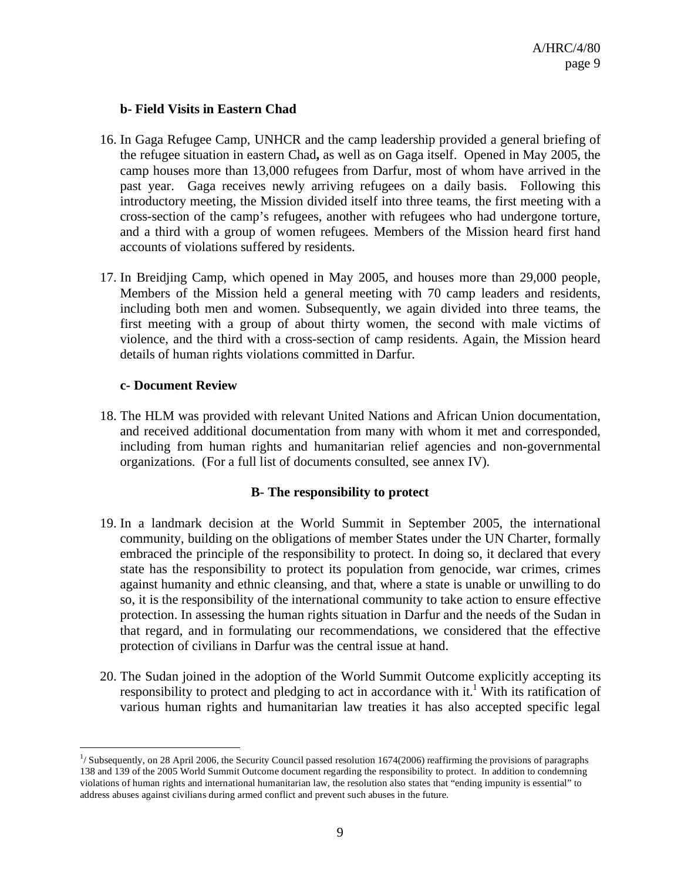### **b- Field Visits in Eastern Chad**

- 16. In Gaga Refugee Camp, UNHCR and the camp leadership provided a general briefing of the refugee situation in eastern Chad**,** as well as on Gaga itself. Opened in May 2005, the camp houses more than 13,000 refugees from Darfur, most of whom have arrived in the past year. Gaga receives newly arriving refugees on a daily basis. Following this introductory meeting, the Mission divided itself into three teams, the first meeting with a cross-section of the camp's refugees, another with refugees who had undergone torture, and a third with a group of women refugees. Members of the Mission heard first hand accounts of violations suffered by residents.
- 17. In Breidjing Camp, which opened in May 2005, and houses more than 29,000 people, Members of the Mission held a general meeting with 70 camp leaders and residents, including both men and women. Subsequently, we again divided into three teams, the first meeting with a group of about thirty women, the second with male victims of violence, and the third with a cross-section of camp residents. Again, the Mission heard details of human rights violations committed in Darfur.

### **c- Document Review**

1

18. The HLM was provided with relevant United Nations and African Union documentation, and received additional documentation from many with whom it met and corresponded, including from human rights and humanitarian relief agencies and non-governmental organizations. (For a full list of documents consulted, see annex IV).

## **B- The responsibility to protect**

- 19. In a landmark decision at the World Summit in September 2005, the international community, building on the obligations of member States under the UN Charter, formally embraced the principle of the responsibility to protect. In doing so, it declared that every state has the responsibility to protect its population from genocide, war crimes, crimes against humanity and ethnic cleansing, and that, where a state is unable or unwilling to do so, it is the responsibility of the international community to take action to ensure effective protection. In assessing the human rights situation in Darfur and the needs of the Sudan in that regard, and in formulating our recommendations, we considered that the effective protection of civilians in Darfur was the central issue at hand.
- 20. The Sudan joined in the adoption of the World Summit Outcome explicitly accepting its responsibility to protect and pledging to act in accordance with it.<sup>1</sup> With its ratification of various human rights and humanitarian law treaties it has also accepted specific legal

<sup>1</sup> / Subsequently, on 28 April 2006, the Security Council passed resolution 1674(2006) reaffirming the provisions of paragraphs 138 and 139 of the 2005 World Summit Outcome document regarding the responsibility to protect. In addition to condemning violations of human rights and international humanitarian law, the resolution also states that "ending impunity is essential" to address abuses against civilians during armed conflict and prevent such abuses in the future.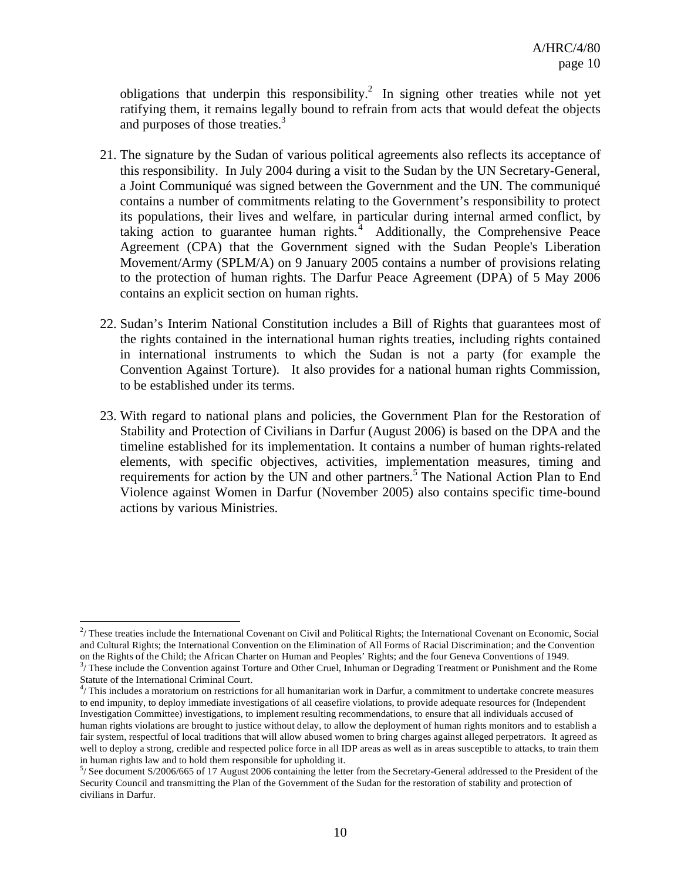obligations that underpin this responsibility.<sup>2</sup> In signing other treaties while not yet ratifying them, it remains legally bound to refrain from acts that would defeat the objects and purposes of those treaties.<sup>3</sup>

- 21. The signature by the Sudan of various political agreements also reflects its acceptance of this responsibility. In July 2004 during a visit to the Sudan by the UN Secretary-General, a Joint Communiqué was signed between the Government and the UN. The communiqué contains a number of commitments relating to the Government's responsibility to protect its populations, their lives and welfare, in particular during internal armed conflict, by taking action to guarantee human rights. $4$  Additionally, the Comprehensive Peace Agreement (CPA) that the Government signed with the Sudan People's Liberation Movement/Army (SPLM/A) on 9 January 2005 contains a number of provisions relating to the protection of human rights. The Darfur Peace Agreement (DPA) of 5 May 2006 contains an explicit section on human rights.
- 22. Sudan's Interim National Constitution includes a Bill of Rights that guarantees most of the rights contained in the international human rights treaties, including rights contained in international instruments to which the Sudan is not a party (for example the Convention Against Torture). It also provides for a national human rights Commission, to be established under its terms.
- 23. With regard to national plans and policies, the Government Plan for the Restoration of Stability and Protection of Civilians in Darfur (August 2006) is based on the DPA and the timeline established for its implementation. It contains a number of human rights-related elements, with specific objectives, activities, implementation measures, timing and requirements for action by the UN and other partners.<sup>5</sup> The National Action Plan to End Violence against Women in Darfur (November 2005) also contains specific time-bound actions by various Ministries.

<sup>&</sup>lt;sup>2</sup>/These treaties include the International Covenant on Civil and Political Rights; the International Covenant on Economic, Social and Cultural Rights; the International Convention on the Elimination of All Forms of Racial Discrimination; and the Convention on the Rights of the Child; the African Charter on Human and Peoples' Rights; and the four Geneva Conventions of 1949.  $3/$  These include the Convention against Torture and Other Cruel, Inhuman or Degrading Treatment or Punishment and the Rome

Statute of the International Criminal Court.

 $4/$ This includes a moratorium on restrictions for all humanitarian work in Darfur, a commitment to undertake concrete measures to end impunity, to deploy immediate investigations of all ceasefire violations, to provide adequate resources for (Independent Investigation Committee) investigations, to implement resulting recommendations, to ensure that all individuals accused of human rights violations are brought to justice without delay, to allow the deployment of human rights monitors and to establish a fair system, respectful of local traditions that will allow abused women to bring charges against alleged perpetrators. It agreed as well to deploy a strong, credible and respected police force in all IDP areas as well as in areas susceptible to attacks, to train them in human rights law and to hold them responsible for upholding it.

<sup>5</sup> / See document S/2006/665 of 17 August 2006 containing the letter from the Secretary-General addressed to the President of the Security Council and transmitting the Plan of the Government of the Sudan for the restoration of stability and protection of civilians in Darfur.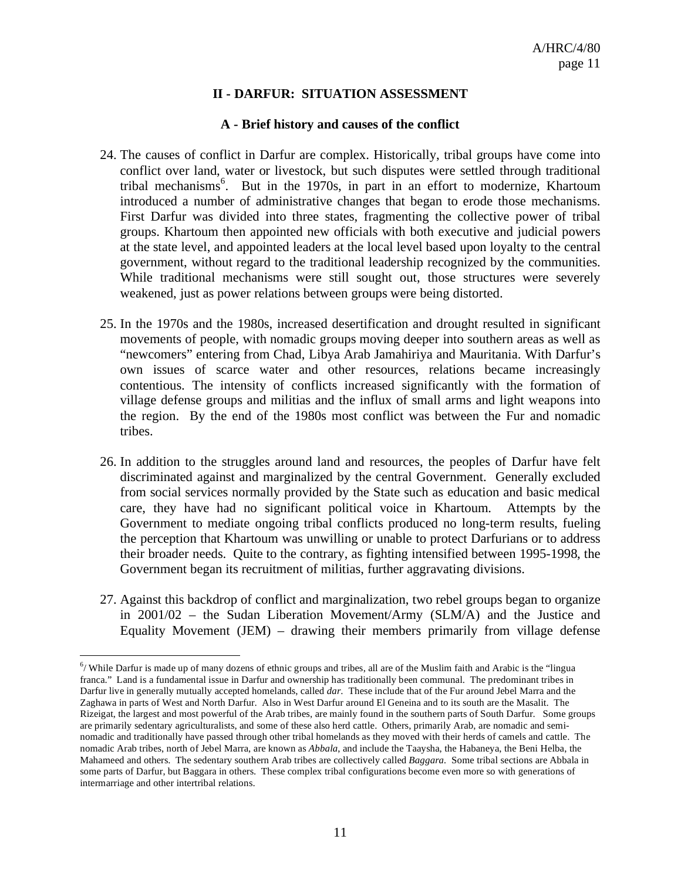## **II - DARFUR: SITUATION ASSESSMENT**

#### **A - Brief history and causes of the conflict**

- 24. The causes of conflict in Darfur are complex. Historically, tribal groups have come into conflict over land, water or livestock, but such disputes were settled through traditional tribal mechanisms<sup>6</sup>. But in the 1970s, in part in an effort to modernize, Khartoum introduced a number of administrative changes that began to erode those mechanisms. First Darfur was divided into three states, fragmenting the collective power of tribal groups. Khartoum then appointed new officials with both executive and judicial powers at the state level, and appointed leaders at the local level based upon loyalty to the central government, without regard to the traditional leadership recognized by the communities. While traditional mechanisms were still sought out, those structures were severely weakened, just as power relations between groups were being distorted.
- 25. In the 1970s and the 1980s, increased desertification and drought resulted in significant movements of people, with nomadic groups moving deeper into southern areas as well as "newcomers" entering from Chad, Libya Arab Jamahiriya and Mauritania. With Darfur's own issues of scarce water and other resources, relations became increasingly contentious. The intensity of conflicts increased significantly with the formation of village defense groups and militias and the influx of small arms and light weapons into the region. By the end of the 1980s most conflict was between the Fur and nomadic tribes.
- 26. In addition to the struggles around land and resources, the peoples of Darfur have felt discriminated against and marginalized by the central Government. Generally excluded from social services normally provided by the State such as education and basic medical care, they have had no significant political voice in Khartoum. Attempts by the Government to mediate ongoing tribal conflicts produced no long-term results, fueling the perception that Khartoum was unwilling or unable to protect Darfurians or to address their broader needs. Quite to the contrary, as fighting intensified between 1995-1998, the Government began its recruitment of militias, further aggravating divisions.
- 27. Against this backdrop of conflict and marginalization, two rebel groups began to organize in 2001/02 – the Sudan Liberation Movement/Army (SLM/A) and the Justice and Equality Movement (JEM) – drawing their members primarily from village defense

1

 $6/$  While Darfur is made up of many dozens of ethnic groups and tribes, all are of the Muslim faith and Arabic is the "lingua franca." Land is a fundamental issue in Darfur and ownership has traditionally been communal. The predominant tribes in Darfur live in generally mutually accepted homelands, called *dar*. These include that of the Fur around Jebel Marra and the Zaghawa in parts of West and North Darfur. Also in West Darfur around El Geneina and to its south are the Masalit. The Rizeigat, the largest and most powerful of the Arab tribes, are mainly found in the southern parts of South Darfur. Some groups are primarily sedentary agriculturalists, and some of these also herd cattle. Others, primarily Arab, are nomadic and seminomadic and traditionally have passed through other tribal homelands as they moved with their herds of camels and cattle. The nomadic Arab tribes, north of Jebel Marra, are known as *Abbala*, and include the Taaysha, the Habaneya, the Beni Helba, the Mahameed and others. The sedentary southern Arab tribes are collectively called *Baggara.* Some tribal sections are Abbala in some parts of Darfur, but Baggara in others. These complex tribal configurations become even more so with generations of intermarriage and other intertribal relations.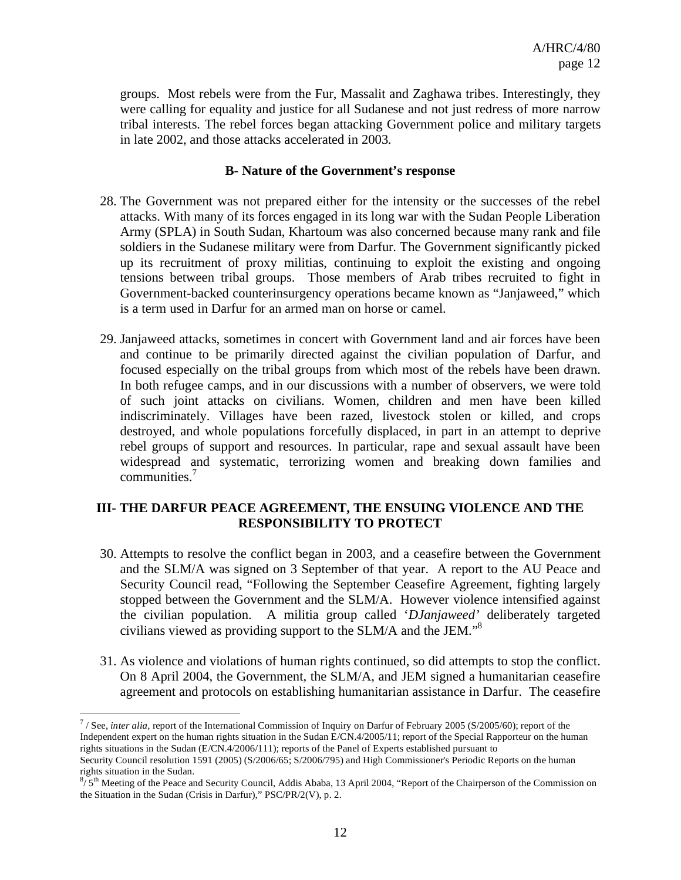groups. Most rebels were from the Fur, Massalit and Zaghawa tribes. Interestingly, they were calling for equality and justice for all Sudanese and not just redress of more narrow tribal interests. The rebel forces began attacking Government police and military targets in late 2002, and those attacks accelerated in 2003.

#### **B- Nature of the Government's response**

- 28. The Government was not prepared either for the intensity or the successes of the rebel attacks. With many of its forces engaged in its long war with the Sudan People Liberation Army (SPLA) in South Sudan, Khartoum was also concerned because many rank and file soldiers in the Sudanese military were from Darfur. The Government significantly picked up its recruitment of proxy militias, continuing to exploit the existing and ongoing tensions between tribal groups. Those members of Arab tribes recruited to fight in Government-backed counterinsurgency operations became known as "Janjaweed," which is a term used in Darfur for an armed man on horse or camel.
- 29. Janjaweed attacks, sometimes in concert with Government land and air forces have been and continue to be primarily directed against the civilian population of Darfur, and focused especially on the tribal groups from which most of the rebels have been drawn. In both refugee camps, and in our discussions with a number of observers, we were told of such joint attacks on civilians. Women, children and men have been killed indiscriminately. Villages have been razed, livestock stolen or killed, and crops destroyed, and whole populations forcefully displaced, in part in an attempt to deprive rebel groups of support and resources. In particular, rape and sexual assault have been widespread and systematic, terrorizing women and breaking down families and communities.<sup>7</sup>

## **III- THE DARFUR PEACE AGREEMENT, THE ENSUING VIOLENCE AND THE RESPONSIBILITY TO PROTECT**

- 30. Attempts to resolve the conflict began in 2003, and a ceasefire between the Government and the SLM/A was signed on 3 September of that year. A report to the AU Peace and Security Council read, "Following the September Ceasefire Agreement, fighting largely stopped between the Government and the SLM/A. However violence intensified against the civilian population. A militia group called '*DJanjaweed'* deliberately targeted civilians viewed as providing support to the SLM/A and the JEM."8
- 31. As violence and violations of human rights continued, so did attempts to stop the conflict. On 8 April 2004, the Government, the SLM/A, and JEM signed a humanitarian ceasefire agreement and protocols on establishing humanitarian assistance in Darfur. The ceasefire

1

<sup>&</sup>lt;sup>7</sup>/See, *inter alia*, report of the International Commission of Inquiry on Darfur of February 2005 (S/2005/60); report of the Independent expert on the human rights situation in the Sudan E/CN.4/2005/11; report of the Special Rapporteur on the human rights situations in the Sudan (E/CN.4/2006/111); reports of the Panel of Experts established pursuant to Security Council resolution 1591 (2005) (S/2006/65; S/2006/795) and High Commissioner's Periodic Reports on the human

rights situation in the Sudan.

<sup>&</sup>lt;sup>8</sup>/ 5<sup>th</sup> Meeting of the Peace and Security Council, Addis Ababa, 13 April 2004, "Report of the Chairperson of the Commission on the Situation in the Sudan (Crisis in Darfur)," PSC/PR/2(V), p. 2.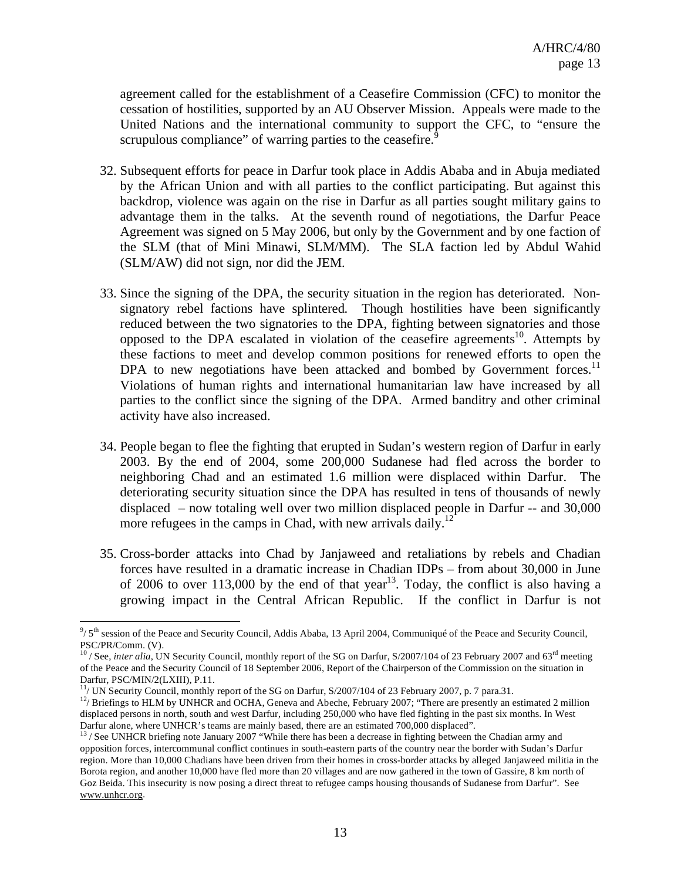agreement called for the establishment of a Ceasefire Commission (CFC) to monitor the cessation of hostilities, supported by an AU Observer Mission. Appeals were made to the United Nations and the international community to support the CFC, to "ensure the scrupulous compliance" of warring parties to the ceasefire.<sup>9</sup>

- 32. Subsequent efforts for peace in Darfur took place in Addis Ababa and in Abuja mediated by the African Union and with all parties to the conflict participating. But against this backdrop, violence was again on the rise in Darfur as all parties sought military gains to advantage them in the talks. At the seventh round of negotiations, the Darfur Peace Agreement was signed on 5 May 2006, but only by the Government and by one faction of the SLM (that of Mini Minawi, SLM/MM). The SLA faction led by Abdul Wahid (SLM/AW) did not sign, nor did the JEM.
- 33. Since the signing of the DPA, the security situation in the region has deteriorated.Nonsignatory rebel factions have splintered. Though hostilities have been significantly reduced between the two signatories to the DPA, fighting between signatories and those opposed to the DPA escalated in violation of the ceasefire agreements<sup>10</sup>. Attempts by these factions to meet and develop common positions for renewed efforts to open the DPA to new negotiations have been attacked and bombed by Government forces.<sup>11</sup> Violations of human rights and international humanitarian law have increased by all parties to the conflict since the signing of the DPA. Armed banditry and other criminal activity have also increased.
- 34. People began to flee the fighting that erupted in Sudan's western region of Darfur in early 2003. By the end of 2004, some 200,000 Sudanese had fled across the border to neighboring Chad and an estimated 1.6 million were displaced within Darfur. The deteriorating security situation since the DPA has resulted in tens of thousands of newly displaced – now totaling well over two million displaced people in Darfur -- and 30,000 more refugees in the camps in Chad, with new arrivals daily.<sup>12</sup>
- 35. Cross-border attacks into Chad by Janjaweed and retaliations by rebels and Chadian forces have resulted in a dramatic increase in Chadian IDPs – from about 30,000 in June of 2006 to over 113,000 by the end of that year<sup>13</sup>. Today, the conflict is also having a growing impact in the Central African Republic. If the conflict in Darfur is not

 $\overline{a}$  $9/5<sup>th</sup>$  session of the Peace and Security Council, Addis Ababa, 13 April 2004, Communiqué of the Peace and Security Council, PSC/PR/Comm. (V).

<sup>&</sup>lt;sup>10</sup> / See, *inter alia*, UN Security Council, monthly report of the SG on Darfur, S/2007/104 of 23 February 2007 and 63<sup>rd</sup> meeting of the Peace and the Security Council of 18 September 2006, Report of the Chairperson of the Commission on the situation in Darfur, PSC/MIN/2(LXIII), P.11.

 $11/$  UN Security Council, monthly report of the SG on Darfur, S/2007/104 of 23 February 2007, p. 7 para.31.

<sup>&</sup>lt;sup>12</sup>/ Briefings to HLM by UNHCR and OCHA, Geneva and Abeche, February 2007; "There are presently an estimated 2 million displaced persons in north, south and west Darfur, including 250,000 who have fled fighting in the past six months. In West Darfur alone, where UNHCR's teams are mainly based, there are an estimated 700,000 displaced".

 $13$  / See UNHCR briefing note January 2007 "While there has been a decrease in fighting between the Chadian army and opposition forces, intercommunal conflict continues in south-eastern parts of the country near the border with Sudan's Darfur region. More than 10,000 Chadians have been driven from their homes in cross-border attacks by alleged Janjaweed militia in the Borota region, and another 10,000 have fled more than 20 villages and are now gathered in the town of Gassire, 8 km north of Goz Beida. This insecurity is now posing a direct threat to refugee camps housing thousands of Sudanese from Darfur". See www.unhcr.org.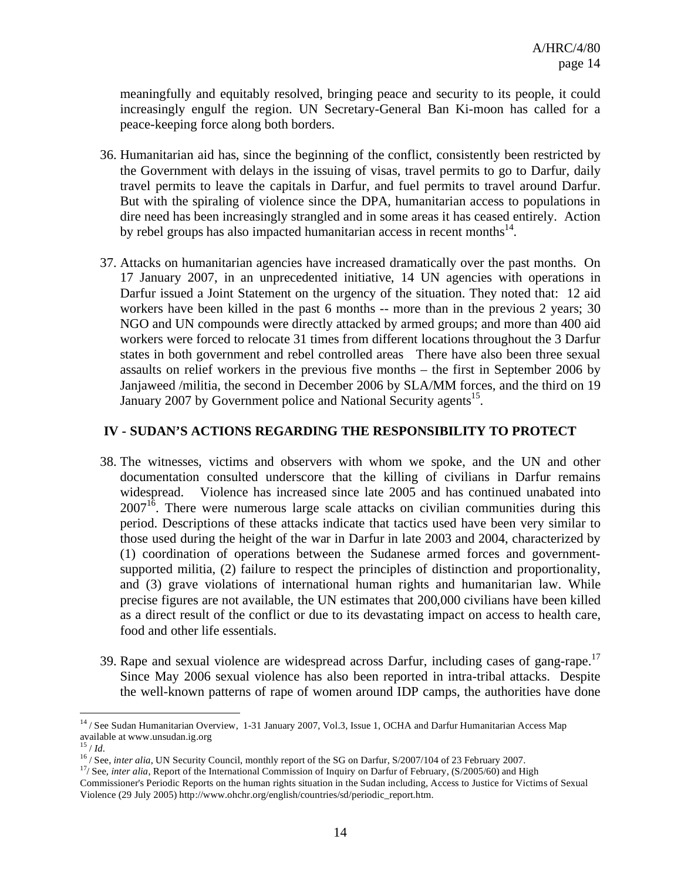meaningfully and equitably resolved, bringing peace and security to its people, it could increasingly engulf the region. UN Secretary-General Ban Ki-moon has called for a peace-keeping force along both borders.

- 36. Humanitarian aid has, since the beginning of the conflict, consistently been restricted by the Government with delays in the issuing of visas, travel permits to go to Darfur, daily travel permits to leave the capitals in Darfur, and fuel permits to travel around Darfur. But with the spiraling of violence since the DPA, humanitarian access to populations in dire need has been increasingly strangled and in some areas it has ceased entirely. Action by rebel groups has also impacted humanitarian access in recent months $14$ .
- 37. Attacks on humanitarian agencies have increased dramatically over the past months. On 17 January 2007, in an unprecedented initiative, 14 UN agencies with operations in Darfur issued a Joint Statement on the urgency of the situation. They noted that: 12 aid workers have been killed in the past 6 months -- more than in the previous 2 years; 30 NGO and UN compounds were directly attacked by armed groups; and more than 400 aid workers were forced to relocate 31 times from different locations throughout the 3 Darfur states in both government and rebel controlled areas There have also been three sexual assaults on relief workers in the previous five months – the first in September 2006 by Janjaweed /militia, the second in December 2006 by SLA/MM forces, and the third on 19 January 2007 by Government police and National Security agents<sup>15</sup>.

### **IV - SUDAN'S ACTIONS REGARDING THE RESPONSIBILITY TO PROTECT**

- 38. The witnesses, victims and observers with whom we spoke, and the UN and other documentation consulted underscore that the killing of civilians in Darfur remains widespread. Violence has increased since late 2005 and has continued unabated into  $2007<sup>16</sup>$ . There were numerous large scale attacks on civilian communities during this period. Descriptions of these attacks indicate that tactics used have been very similar to those used during the height of the war in Darfur in late 2003 and 2004, characterized by (1) coordination of operations between the Sudanese armed forces and governmentsupported militia, (2) failure to respect the principles of distinction and proportionality, and (3) grave violations of international human rights and humanitarian law. While precise figures are not available, the UN estimates that 200,000 civilians have been killed as a direct result of the conflict or due to its devastating impact on access to health care, food and other life essentials.
- 39. Rape and sexual violence are widespread across Darfur, including cases of gang-rape.<sup>17</sup> Since May 2006 sexual violence has also been reported in intra-tribal attacks. Despite the well-known patterns of rape of women around IDP camps, the authorities have done

<sup>&</sup>lt;sup>14</sup> / See Sudan Humanitarian Overview, 1-31 January 2007, Vol.3, Issue 1, OCHA and Darfur Humanitarian Access Map available at www.unsudan.ig.org  $15 / Id$ .

<sup>&</sup>lt;sup>16</sup>/See, *inter alia*, UN Security Council, monthly report of the SG on Darfur, S/2007/104 of 23 February 2007.<br><sup>17</sup>/See, *inter alia*, Report of the International Commission of Inquiry on Darfur of February, (S/2005/60)

Commissioner's Periodic Reports on the human rights situation in the Sudan including, Access to Justice for Victims of Sexual Violence (29 July 2005) http://www.ohchr.org/english/countries/sd/periodic\_report.htm.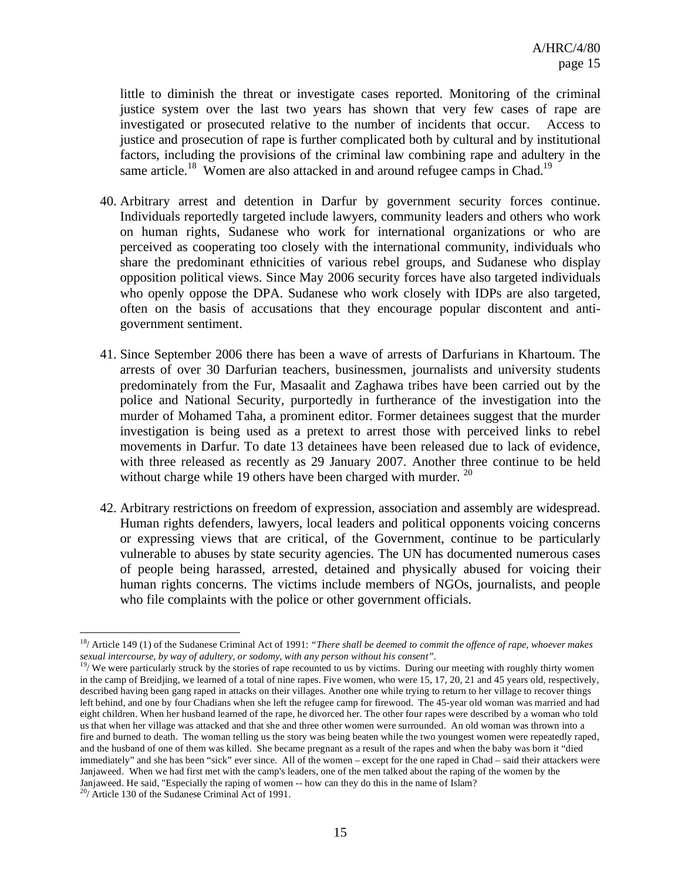little to diminish the threat or investigate cases reported. Monitoring of the criminal justice system over the last two years has shown that very few cases of rape are investigated or prosecuted relative to the number of incidents that occur. Access to justice and prosecution of rape is further complicated both by cultural and by institutional factors, including the provisions of the criminal law combining rape and adultery in the same article.<sup>18</sup> Women are also attacked in and around refugee camps in Chad.<sup>19</sup>

- 40. Arbitrary arrest and detention in Darfur by government security forces continue. Individuals reportedly targeted include lawyers, community leaders and others who work on human rights, Sudanese who work for international organizations or who are perceived as cooperating too closely with the international community, individuals who share the predominant ethnicities of various rebel groups, and Sudanese who display opposition political views. Since May 2006 security forces have also targeted individuals who openly oppose the DPA. Sudanese who work closely with IDPs are also targeted, often on the basis of accusations that they encourage popular discontent and antigovernment sentiment.
- 41. Since September 2006 there has been a wave of arrests of Darfurians in Khartoum. The arrests of over 30 Darfurian teachers, businessmen, journalists and university students predominately from the Fur, Masaalit and Zaghawa tribes have been carried out by the police and National Security, purportedly in furtherance of the investigation into the murder of Mohamed Taha, a prominent editor. Former detainees suggest that the murder investigation is being used as a pretext to arrest those with perceived links to rebel movements in Darfur. To date 13 detainees have been released due to lack of evidence, with three released as recently as 29 January 2007. Another three continue to be held without charge while 19 others have been charged with murder.  $20$
- 42. Arbitrary restrictions on freedom of expression, association and assembly are widespread. Human rights defenders, lawyers, local leaders and political opponents voicing concerns or expressing views that are critical, of the Government, continue to be particularly vulnerable to abuses by state security agencies. The UN has documented numerous cases of people being harassed, arrested, detained and physically abused for voicing their human rights concerns. The victims include members of NGOs, journalists, and people who file complaints with the police or other government officials.

1

<sup>18/</sup> Article 149 (1) of the Sudanese Criminal Act of 1991: *"There shall be deemed to commit the offence of rape, whoever makes sexual intercourse, by way of adultery, or sodomy, with any person without his consent".*

 $19/$  We were particularly struck by the stories of rape recounted to us by victims. During our meeting with roughly thirty women in the camp of Breidjing, we learned of a total of nine rapes. Five women, who were 15, 17, 20, 21 and 45 years old, respectively, described having been gang raped in attacks on their villages. Another one while trying to return to her village to recover things left behind, and one by four Chadians when she left the refugee camp for firewood. The 45-year old woman was married and had eight children. When her husband learned of the rape, he divorced her. The other four rapes were described by a woman who told us that when her village was attacked and that she and three other women were surrounded. An old woman was thrown into a fire and burned to death. The woman telling us the story was being beaten while the two youngest women were repeatedly raped, and the husband of one of them was killed. She became pregnant as a result of the rapes and when the baby was born it "died immediately" and she has been "sick" ever since. All of the women – except for the one raped in Chad – said their attackers were Janjaweed. When we had first met with the camp's leaders, one of the men talked about the raping of the women by the Janjaweed. He said, "Especially the raping of women -- how can they do this in the name of Islam?

 $^{20}$ / Article 130 of the Sudanese Criminal Act of 1991.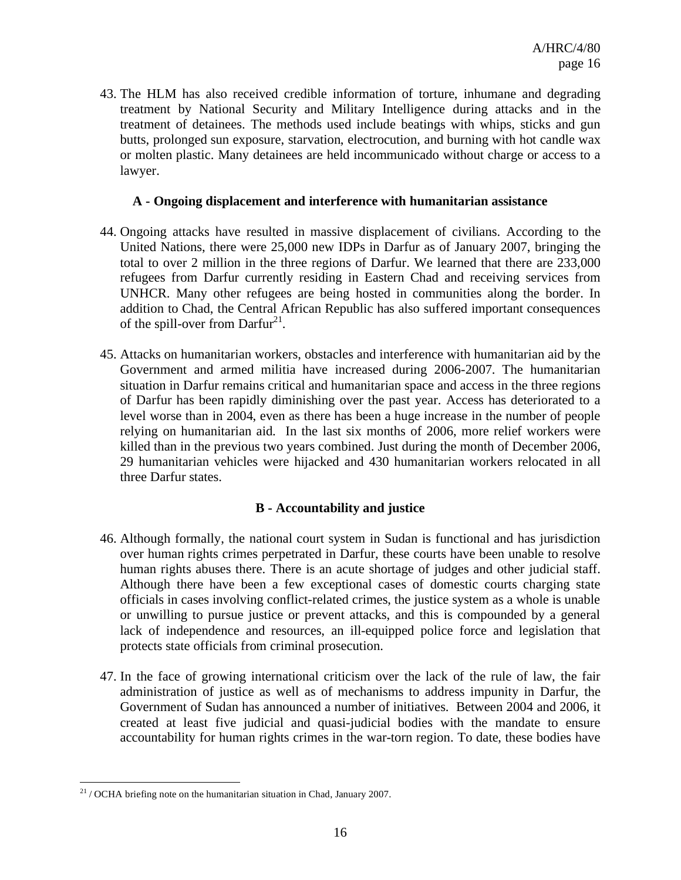43. The HLM has also received credible information of torture, inhumane and degrading treatment by National Security and Military Intelligence during attacks and in the treatment of detainees. The methods used include beatings with whips, sticks and gun butts, prolonged sun exposure, starvation, electrocution, and burning with hot candle wax or molten plastic. Many detainees are held incommunicado without charge or access to a lawyer.

#### **A - Ongoing displacement and interference with humanitarian assistance**

- 44. Ongoing attacks have resulted in massive displacement of civilians. According to the United Nations, there were 25,000 new IDPs in Darfur as of January 2007, bringing the total to over 2 million in the three regions of Darfur. We learned that there are 233,000 refugees from Darfur currently residing in Eastern Chad and receiving services from UNHCR. Many other refugees are being hosted in communities along the border. In addition to Chad, the Central African Republic has also suffered important consequences of the spill-over from  $Darfur<sup>21</sup>$ .
- 45. Attacks on humanitarian workers, obstacles and interference with humanitarian aid by the Government and armed militia have increased during 2006-2007. The humanitarian situation in Darfur remains critical and humanitarian space and access in the three regions of Darfur has been rapidly diminishing over the past year. Access has deteriorated to a level worse than in 2004, even as there has been a huge increase in the number of people relying on humanitarian aid. In the last six months of 2006, more relief workers were killed than in the previous two years combined. Just during the month of December 2006, 29 humanitarian vehicles were hijacked and 430 humanitarian workers relocated in all three Darfur states.

#### **B - Accountability and justice**

- 46. Although formally, the national court system in Sudan is functional and has jurisdiction over human rights crimes perpetrated in Darfur, these courts have been unable to resolve human rights abuses there. There is an acute shortage of judges and other judicial staff. Although there have been a few exceptional cases of domestic courts charging state officials in cases involving conflict-related crimes, the justice system as a whole is unable or unwilling to pursue justice or prevent attacks, and this is compounded by a general lack of independence and resources, an ill-equipped police force and legislation that protects state officials from criminal prosecution.
- 47. In the face of growing international criticism over the lack of the rule of law, the fair administration of justice as well as of mechanisms to address impunity in Darfur, the Government of Sudan has announced a number of initiatives. Between 2004 and 2006, it created at least five judicial and quasi-judicial bodies with the mandate to ensure accountability for human rights crimes in the war-torn region. To date, these bodies have

<u>.</u>

 $^{21}$  / OCHA briefing note on the humanitarian situation in Chad, January 2007.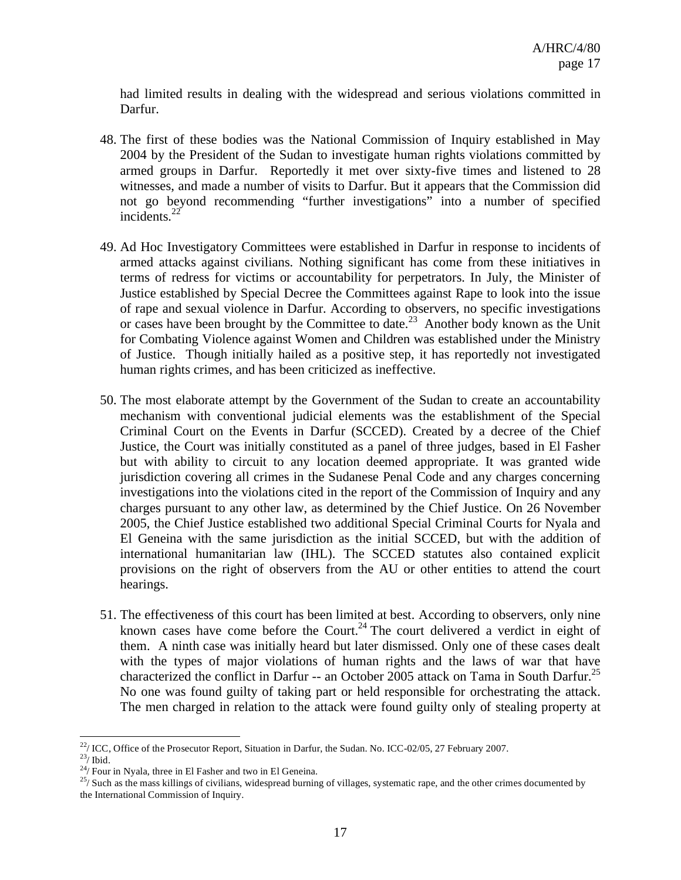had limited results in dealing with the widespread and serious violations committed in Darfur.

- 48. The first of these bodies was the National Commission of Inquiry established in May 2004 by the President of the Sudan to investigate human rights violations committed by armed groups in Darfur. Reportedly it met over sixty-five times and listened to 28 witnesses, and made a number of visits to Darfur. But it appears that the Commission did not go beyond recommending "further investigations" into a number of specified incidents.<sup>22</sup>
- 49. Ad Hoc Investigatory Committees were established in Darfur in response to incidents of armed attacks against civilians. Nothing significant has come from these initiatives in terms of redress for victims or accountability for perpetrators. In July, the Minister of Justice established by Special Decree the Committees against Rape to look into the issue of rape and sexual violence in Darfur. According to observers, no specific investigations or cases have been brought by the Committee to date.<sup>23</sup> Another body known as the Unit for Combating Violence against Women and Children was established under the Ministry of Justice. Though initially hailed as a positive step, it has reportedly not investigated human rights crimes, and has been criticized as ineffective.
- 50. The most elaborate attempt by the Government of the Sudan to create an accountability mechanism with conventional judicial elements was the establishment of the Special Criminal Court on the Events in Darfur (SCCED). Created by a decree of the Chief Justice, the Court was initially constituted as a panel of three judges, based in El Fasher but with ability to circuit to any location deemed appropriate. It was granted wide jurisdiction covering all crimes in the Sudanese Penal Code and any charges concerning investigations into the violations cited in the report of the Commission of Inquiry and any charges pursuant to any other law, as determined by the Chief Justice. On 26 November 2005, the Chief Justice established two additional Special Criminal Courts for Nyala and El Geneina with the same jurisdiction as the initial SCCED, but with the addition of international humanitarian law (IHL). The SCCED statutes also contained explicit provisions on the right of observers from the AU or other entities to attend the court hearings.
- 51. The effectiveness of this court has been limited at best. According to observers, only nine known cases have come before the Court.<sup>24</sup> The court delivered a verdict in eight of them. A ninth case was initially heard but later dismissed. Only one of these cases dealt with the types of major violations of human rights and the laws of war that have characterized the conflict in Darfur -- an October 2005 attack on Tama in South Darfur.<sup>25</sup> No one was found guilty of taking part or held responsible for orchestrating the attack. The men charged in relation to the attack were found guilty only of stealing property at

 $^{22}$ / ICC, Office of the Prosecutor Report, Situation in Darfur, the Sudan. No. ICC-02/05, 27 February 2007.

 $^{23}$ / Ibid.

 $^{24}/$  Four in Nyala, three in El Fasher and two in El Geneina.

 $25/$  Such as the mass killings of civilians, widespread burning of villages, systematic rape, and the other crimes documented by the International Commission of Inquiry.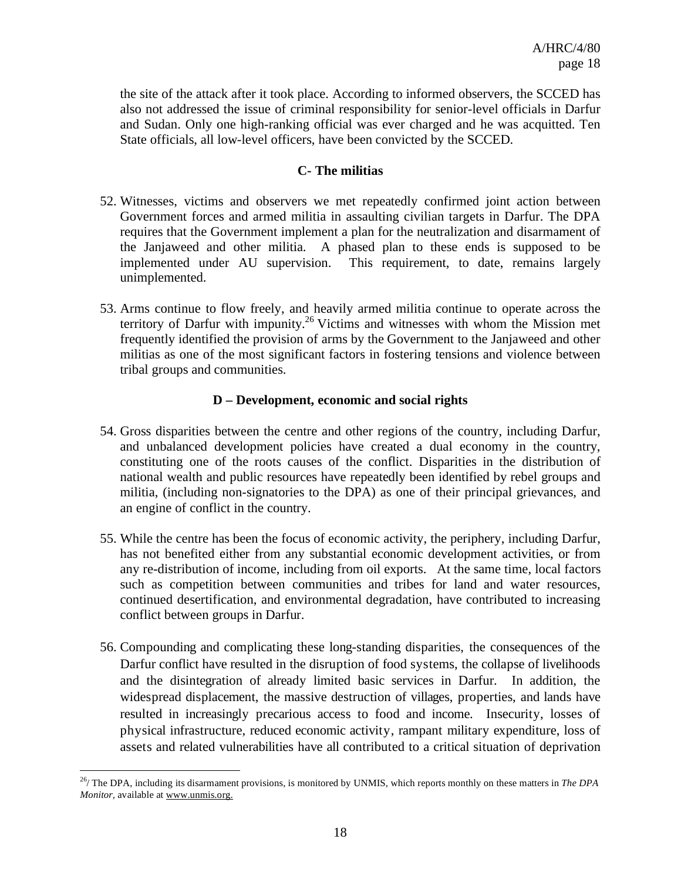the site of the attack after it took place. According to informed observers, the SCCED has also not addressed the issue of criminal responsibility for senior-level officials in Darfur and Sudan. Only one high-ranking official was ever charged and he was acquitted. Ten State officials, all low-level officers, have been convicted by the SCCED.

#### **C- The militias**

- 52. Witnesses, victims and observers we met repeatedly confirmed joint action between Government forces and armed militia in assaulting civilian targets in Darfur. The DPA requires that the Government implement a plan for the neutralization and disarmament of the Janjaweed and other militia. A phased plan to these ends is supposed to be implemented under AU supervision. This requirement, to date, remains largely unimplemented.
- 53. Arms continue to flow freely, and heavily armed militia continue to operate across the territory of Darfur with impunity.<sup>26</sup> Victims and witnesses with whom the Mission met frequently identified the provision of arms by the Government to the Janjaweed and other militias as one of the most significant factors in fostering tensions and violence between tribal groups and communities.

#### **D – Development, economic and social rights**

- 54. Gross disparities between the centre and other regions of the country, including Darfur, and unbalanced development policies have created a dual economy in the country, constituting one of the roots causes of the conflict. Disparities in the distribution of national wealth and public resources have repeatedly been identified by rebel groups and militia, (including non-signatories to the DPA) as one of their principal grievances, and an engine of conflict in the country.
- 55. While the centre has been the focus of economic activity, the periphery, including Darfur, has not benefited either from any substantial economic development activities, or from any re-distribution of income, including from oil exports. At the same time, local factors such as competition between communities and tribes for land and water resources, continued desertification, and environmental degradation, have contributed to increasing conflict between groups in Darfur.
- 56. Compounding and complicating these long-standing disparities, the consequences of the Darfur conflict have resulted in the disruption of food systems, the collapse of livelihoods and the disintegration of already limited basic services in Darfur. In addition, the widespread displacement, the massive destruction of villages, properties, and lands have resulted in increasingly precarious access to food and income. Insecurity, losses of physical infrastructure, reduced economic activity, rampant military expenditure, loss of assets and related vulnerabilities have all contributed to a critical situation of deprivation

<sup>26/</sup> The DPA, including its disarmament provisions, is monitored by UNMIS, which reports monthly on these matters in *The DPA Monitor,* available at www.unmis.org.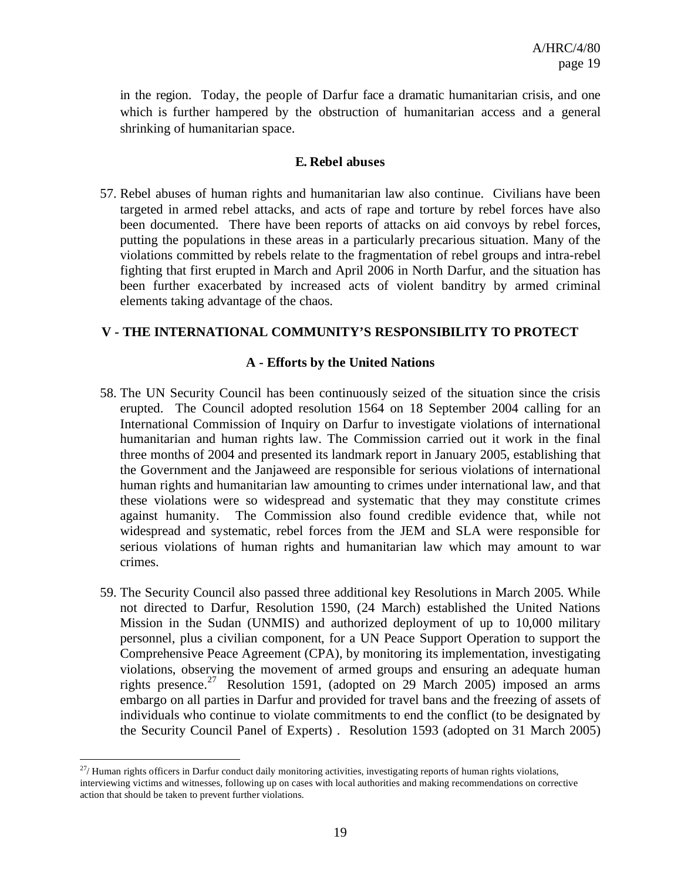in the region. Today, the people of Darfur face a dramatic humanitarian crisis, and one which is further hampered by the obstruction of humanitarian access and a general shrinking of humanitarian space.

#### **E. Rebel abuses**

57. Rebel abuses of human rights and humanitarian law also continue. Civilians have been targeted in armed rebel attacks, and acts of rape and torture by rebel forces have also been documented. There have been reports of attacks on aid convoys by rebel forces, putting the populations in these areas in a particularly precarious situation. Many of the violations committed by rebels relate to the fragmentation of rebel groups and intra-rebel fighting that first erupted in March and April 2006 in North Darfur, and the situation has been further exacerbated by increased acts of violent banditry by armed criminal elements taking advantage of the chaos.

#### **V - THE INTERNATIONAL COMMUNITY'S RESPONSIBILITY TO PROTECT**

#### **A - Efforts by the United Nations**

- 58. The UN Security Council has been continuously seized of the situation since the crisis erupted. The Council adopted resolution 1564 on 18 September 2004 calling for an International Commission of Inquiry on Darfur to investigate violations of international humanitarian and human rights law. The Commission carried out it work in the final three months of 2004 and presented its landmark report in January 2005, establishing that the Government and the Janjaweed are responsible for serious violations of international human rights and humanitarian law amounting to crimes under international law, and that these violations were so widespread and systematic that they may constitute crimes against humanity. The Commission also found credible evidence that, while not widespread and systematic, rebel forces from the JEM and SLA were responsible for serious violations of human rights and humanitarian law which may amount to war crimes.
- 59. The Security Council also passed three additional key Resolutions in March 2005. While not directed to Darfur, Resolution 1590, (24 March) established the United Nations Mission in the Sudan (UNMIS) and authorized deployment of up to 10,000 military personnel, plus a civilian component, for a UN Peace Support Operation to support the Comprehensive Peace Agreement (CPA), by monitoring its implementation, investigating violations, observing the movement of armed groups and ensuring an adequate human rights presence.<sup>27</sup> Resolution 1591, (adopted on 29 March 2005) imposed an arms embargo on all parties in Darfur and provided for travel bans and the freezing of assets of individuals who continue to violate commitments to end the conflict (to be designated by the Security Council Panel of Experts) . Resolution 1593 (adopted on 31 March 2005)

 $^{27}$ / Human rights officers in Darfur conduct daily monitoring activities, investigating reports of human rights violations, interviewing victims and witnesses, following up on cases with local authorities and making recommendations on corrective action that should be taken to prevent further violations.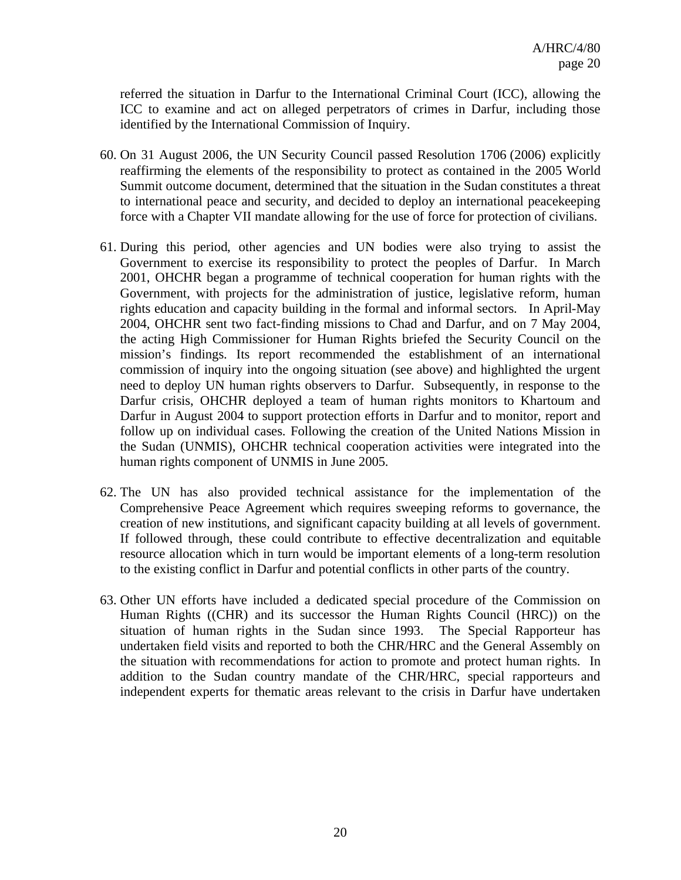referred the situation in Darfur to the International Criminal Court (ICC), allowing the ICC to examine and act on alleged perpetrators of crimes in Darfur, including those identified by the International Commission of Inquiry.

- 60. On 31 August 2006, the UN Security Council passed Resolution 1706 (2006) explicitly reaffirming the elements of the responsibility to protect as contained in the 2005 World Summit outcome document, determined that the situation in the Sudan constitutes a threat to international peace and security, and decided to deploy an international peacekeeping force with a Chapter VII mandate allowing for the use of force for protection of civilians.
- 61. During this period, other agencies and UN bodies were also trying to assist the Government to exercise its responsibility to protect the peoples of Darfur. In March 2001, OHCHR began a programme of technical cooperation for human rights with the Government, with projects for the administration of justice, legislative reform, human rights education and capacity building in the formal and informal sectors. In April-May 2004, OHCHR sent two fact-finding missions to Chad and Darfur, and on 7 May 2004, the acting High Commissioner for Human Rights briefed the Security Council on the mission's findings. Its report recommended the establishment of an international commission of inquiry into the ongoing situation (see above) and highlighted the urgent need to deploy UN human rights observers to Darfur. Subsequently, in response to the Darfur crisis, OHCHR deployed a team of human rights monitors to Khartoum and Darfur in August 2004 to support protection efforts in Darfur and to monitor, report and follow up on individual cases. Following the creation of the United Nations Mission in the Sudan (UNMIS), OHCHR technical cooperation activities were integrated into the human rights component of UNMIS in June 2005.
- 62. The UN has also provided technical assistance for the implementation of the Comprehensive Peace Agreement which requires sweeping reforms to governance, the creation of new institutions, and significant capacity building at all levels of government. If followed through, these could contribute to effective decentralization and equitable resource allocation which in turn would be important elements of a long-term resolution to the existing conflict in Darfur and potential conflicts in other parts of the country.
- 63. Other UN efforts have included a dedicated special procedure of the Commission on Human Rights ((CHR) and its successor the Human Rights Council (HRC)) on the situation of human rights in the Sudan since 1993. The Special Rapporteur has undertaken field visits and reported to both the CHR/HRC and the General Assembly on the situation with recommendations for action to promote and protect human rights. In addition to the Sudan country mandate of the CHR/HRC, special rapporteurs and independent experts for thematic areas relevant to the crisis in Darfur have undertaken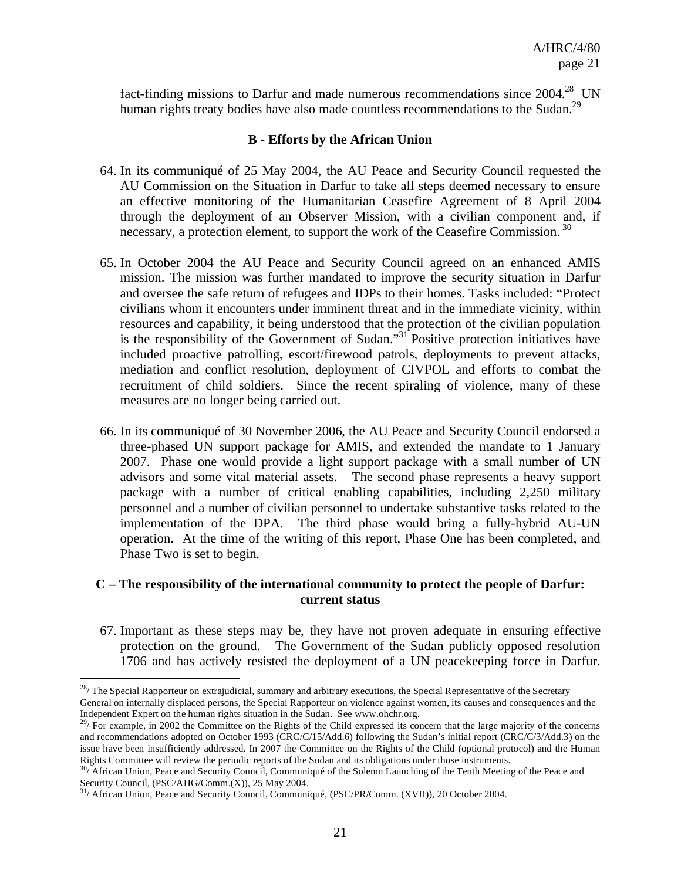fact-finding missions to Darfur and made numerous recommendations since  $2004.<sup>28</sup>$  UN human rights treaty bodies have also made countless recommendations to the Sudan.<sup>29</sup>

#### **B - Efforts by the African Union**

- 64. In its communiqué of 25 May 2004, the AU Peace and Security Council requested the AU Commission on the Situation in Darfur to take all steps deemed necessary to ensure an effective monitoring of the Humanitarian Ceasefire Agreement of 8 April 2004 through the deployment of an Observer Mission, with a civilian component and, if necessary, a protection element, to support the work of the Ceasefire Commission.<sup>30</sup>
- 65. In October 2004 the AU Peace and Security Council agreed on an enhanced AMIS mission. The mission was further mandated to improve the security situation in Darfur and oversee the safe return of refugees and IDPs to their homes. Tasks included: "Protect civilians whom it encounters under imminent threat and in the immediate vicinity, within resources and capability, it being understood that the protection of the civilian population is the responsibility of the Government of Sudan."<sup>31</sup> Positive protection initiatives have included proactive patrolling, escort/firewood patrols, deployments to prevent attacks, mediation and conflict resolution, deployment of CIVPOL and efforts to combat the recruitment of child soldiers. Since the recent spiraling of violence, many of these measures are no longer being carried out.
- 66. In its communiqué of 30 November 2006, the AU Peace and Security Council endorsed a three-phased UN support package for AMIS, and extended the mandate to 1 January 2007. Phase one would provide a light support package with a small number of UN advisors and some vital material assets. The second phase represents a heavy support package with a number of critical enabling capabilities, including 2,250 military personnel and a number of civilian personnel to undertake substantive tasks related to the implementation of the DPA. The third phase would bring a fully-hybrid AU-UN operation. At the time of the writing of this report, Phase One has been completed, and Phase Two is set to begin.

#### **C – The responsibility of the international community to protect the people of Darfur: current status**

67. Important as these steps may be, they have not proven adequate in ensuring effective protection on the ground. The Government of the Sudan publicly opposed resolution 1706 and has actively resisted the deployment of a UN peacekeeping force in Darfur.

 $28/$  The Special Rapporteur on extrajudicial, summary and arbitrary executions, the Special Representative of the Secretary General on internally displaced persons, the Special Rapporteur on violence against women, its causes and consequences and the Independent Expert on the human rights situation in the Sudan. See www.ohchr.org.

 $^{29}$ / For example, in 2002 the Committee on the Rights of the Child expressed its concern that the large majority of the concerns and recommendations adopted on October 1993 (CRC/C/15/Add.6) following the Sudan's initial report (CRC/C/3/Add.3) on the issue have been insufficiently addressed. In 2007 the Committee on the Rights of the Child (optional protocol) and the Human Rights Committee will review the periodic reports of the Sudan and its obligations under those instruments.

<sup>&</sup>lt;sup>30</sup>/ African Union, Peace and Security Council, Communiqué of the Solemn Launching of the Tenth Meeting of the Peace and Security Council, (PSC/AHG/Comm.(X)), 25 May 2004.

<sup>&</sup>lt;sup>31</sup>/ African Union, Peace and Security Council, Communiqué, (PSC/PR/Comm. (XVII)), 20 October 2004.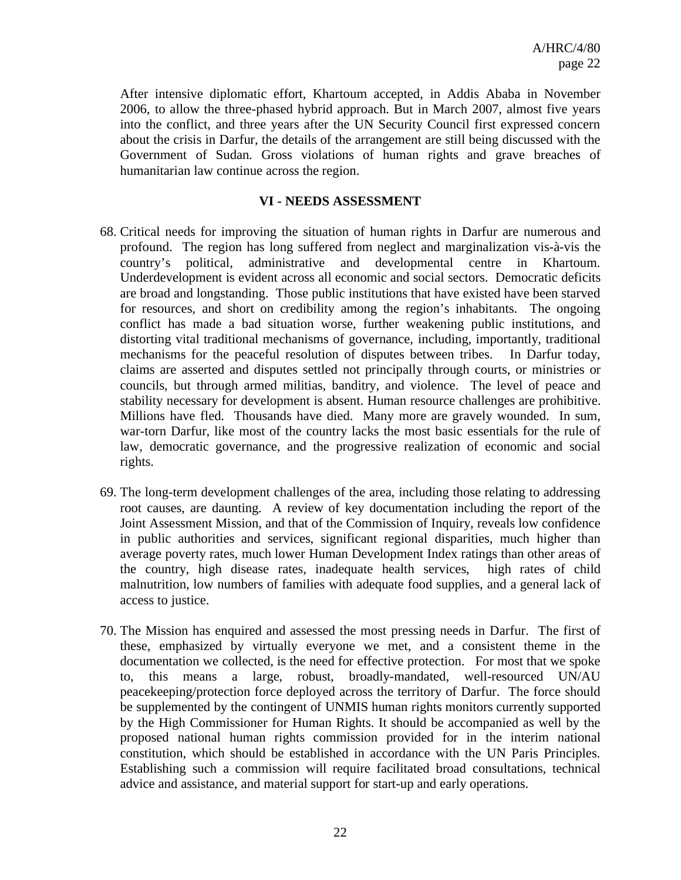After intensive diplomatic effort, Khartoum accepted, in Addis Ababa in November 2006, to allow the three-phased hybrid approach. But in March 2007, almost five years into the conflict, and three years after the UN Security Council first expressed concern about the crisis in Darfur, the details of the arrangement are still being discussed with the Government of Sudan. Gross violations of human rights and grave breaches of humanitarian law continue across the region.

#### **VI - NEEDS ASSESSMENT**

- 68. Critical needs for improving the situation of human rights in Darfur are numerous and profound. The region has long suffered from neglect and marginalization vis-à-vis the country's political, administrative and developmental centre in Khartoum. Underdevelopment is evident across all economic and social sectors. Democratic deficits are broad and longstanding. Those public institutions that have existed have been starved for resources, and short on credibility among the region's inhabitants. The ongoing conflict has made a bad situation worse, further weakening public institutions, and distorting vital traditional mechanisms of governance, including, importantly, traditional mechanisms for the peaceful resolution of disputes between tribes. In Darfur today, claims are asserted and disputes settled not principally through courts, or ministries or councils, but through armed militias, banditry, and violence. The level of peace and stability necessary for development is absent. Human resource challenges are prohibitive. Millions have fled. Thousands have died. Many more are gravely wounded. In sum, war-torn Darfur, like most of the country lacks the most basic essentials for the rule of law, democratic governance, and the progressive realization of economic and social rights.
- 69. The long-term development challenges of the area, including those relating to addressing root causes, are daunting. A review of key documentation including the report of the Joint Assessment Mission, and that of the Commission of Inquiry, reveals low confidence in public authorities and services, significant regional disparities, much higher than average poverty rates, much lower Human Development Index ratings than other areas of the country, high disease rates, inadequate health services, high rates of child malnutrition, low numbers of families with adequate food supplies, and a general lack of access to justice.
- 70. The Mission has enquired and assessed the most pressing needs in Darfur. The first of these, emphasized by virtually everyone we met, and a consistent theme in the documentation we collected, is the need for effective protection. For most that we spoke to, this means a large, robust, broadly-mandated, well-resourced UN/AU peacekeeping/protection force deployed across the territory of Darfur. The force should be supplemented by the contingent of UNMIS human rights monitors currently supported by the High Commissioner for Human Rights. It should be accompanied as well by the proposed national human rights commission provided for in the interim national constitution, which should be established in accordance with the UN Paris Principles. Establishing such a commission will require facilitated broad consultations, technical advice and assistance, and material support for start-up and early operations.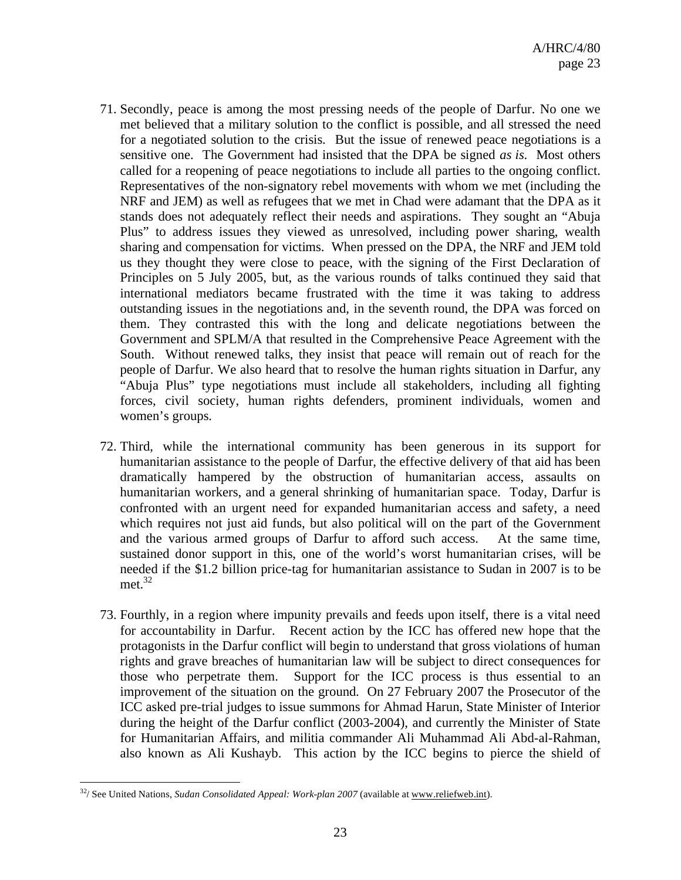- 71. Secondly, peace is among the most pressing needs of the people of Darfur. No one we met believed that a military solution to the conflict is possible, and all stressed the need for a negotiated solution to the crisis. But the issue of renewed peace negotiations is a sensitive one. The Government had insisted that the DPA be signed *as is*. Most others called for a reopening of peace negotiations to include all parties to the ongoing conflict. Representatives of the non-signatory rebel movements with whom we met (including the NRF and JEM) as well as refugees that we met in Chad were adamant that the DPA as it stands does not adequately reflect their needs and aspirations. They sought an "Abuja Plus" to address issues they viewed as unresolved, including power sharing, wealth sharing and compensation for victims. When pressed on the DPA, the NRF and JEM told us they thought they were close to peace, with the signing of the First Declaration of Principles on 5 July 2005, but, as the various rounds of talks continued they said that international mediators became frustrated with the time it was taking to address outstanding issues in the negotiations and, in the seventh round, the DPA was forced on them. They contrasted this with the long and delicate negotiations between the Government and SPLM/A that resulted in the Comprehensive Peace Agreement with the South. Without renewed talks, they insist that peace will remain out of reach for the people of Darfur. We also heard that to resolve the human rights situation in Darfur, any "Abuja Plus" type negotiations must include all stakeholders, including all fighting forces, civil society, human rights defenders, prominent individuals, women and women's groups.
- 72. Third, while the international community has been generous in its support for humanitarian assistance to the people of Darfur, the effective delivery of that aid has been dramatically hampered by the obstruction of humanitarian access, assaults on humanitarian workers, and a general shrinking of humanitarian space. Today, Darfur is confronted with an urgent need for expanded humanitarian access and safety, a need which requires not just aid funds, but also political will on the part of the Government and the various armed groups of Darfur to afford such access. At the same time, sustained donor support in this, one of the world's worst humanitarian crises, will be needed if the \$1.2 billion price-tag for humanitarian assistance to Sudan in 2007 is to be  $met.<sup>32</sup>$
- 73. Fourthly, in a region where impunity prevails and feeds upon itself, there is a vital need for accountability in Darfur. Recent action by the ICC has offered new hope that the protagonists in the Darfur conflict will begin to understand that gross violations of human rights and grave breaches of humanitarian law will be subject to direct consequences for those who perpetrate them. Support for the ICC process is thus essential to an improvement of the situation on the ground. On 27 February 2007 the Prosecutor of the ICC asked pre-trial judges to issue summons for Ahmad Harun, State Minister of Interior during the height of the Darfur conflict (2003-2004), and currently the Minister of State for Humanitarian Affairs, and militia commander Ali Muhammad Ali Abd-al-Rahman, also known as Ali Kushayb. This action by the ICC begins to pierce the shield of

 $\overline{a}$ <sup>32</sup>/ See United Nations, *Sudan Consolidated Appeal: Work-plan 2007* (available at www.reliefweb.int).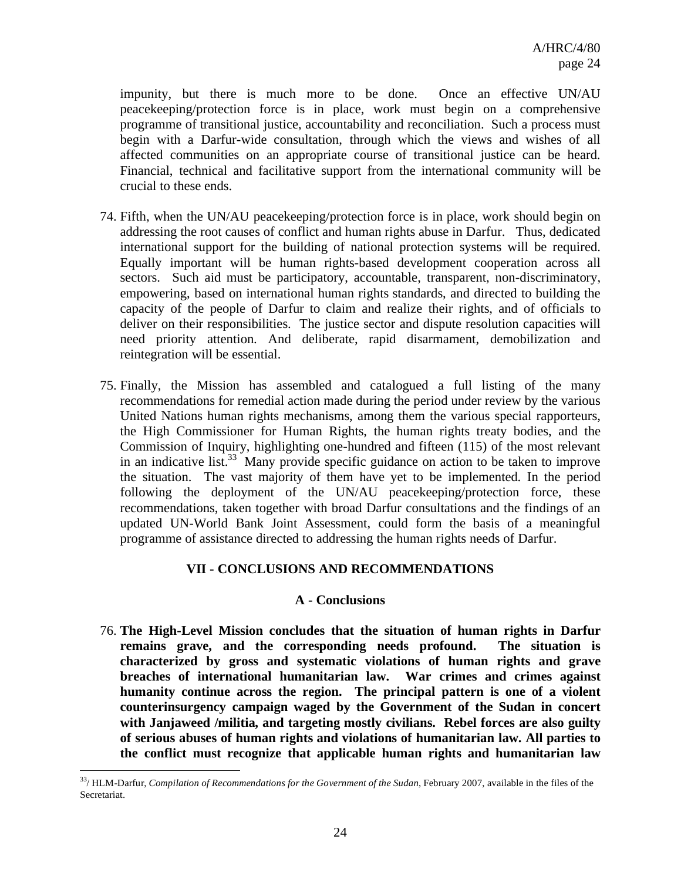impunity, but there is much more to be done. Once an effective UN/AU peacekeeping/protection force is in place, work must begin on a comprehensive programme of transitional justice, accountability and reconciliation. Such a process must begin with a Darfur-wide consultation, through which the views and wishes of all affected communities on an appropriate course of transitional justice can be heard. Financial, technical and facilitative support from the international community will be crucial to these ends.

- 74. Fifth, when the UN/AU peacekeeping/protection force is in place, work should begin on addressing the root causes of conflict and human rights abuse in Darfur. Thus, dedicated international support for the building of national protection systems will be required. Equally important will be human rights-based development cooperation across all sectors. Such aid must be participatory, accountable, transparent, non-discriminatory, empowering, based on international human rights standards, and directed to building the capacity of the people of Darfur to claim and realize their rights, and of officials to deliver on their responsibilities. The justice sector and dispute resolution capacities will need priority attention. And deliberate, rapid disarmament, demobilization and reintegration will be essential.
- 75. Finally, the Mission has assembled and catalogued a full listing of the many recommendations for remedial action made during the period under review by the various United Nations human rights mechanisms, among them the various special rapporteurs, the High Commissioner for Human Rights, the human rights treaty bodies, and the Commission of Inquiry, highlighting one-hundred and fifteen (115) of the most relevant in an indicative list.<sup>33</sup> Many provide specific guidance on action to be taken to improve the situation. The vast majority of them have yet to be implemented. In the period following the deployment of the UN/AU peacekeeping/protection force, these recommendations, taken together with broad Darfur consultations and the findings of an updated UN-World Bank Joint Assessment, could form the basis of a meaningful programme of assistance directed to addressing the human rights needs of Darfur.

#### **VII - CONCLUSIONS AND RECOMMENDATIONS**

#### **A - Conclusions**

76. **The High-Level Mission concludes that the situation of human rights in Darfur remains grave, and the corresponding needs profound. The situation is characterized by gross and systematic violations of human rights and grave breaches of international humanitarian law. War crimes and crimes against humanity continue across the region. The principal pattern is one of a violent counterinsurgency campaign waged by the Government of the Sudan in concert with Janjaweed /militia, and targeting mostly civilians. Rebel forces are also guilty of serious abuses of human rights and violations of humanitarian law. All parties to the conflict must recognize that applicable human rights and humanitarian law** 

<sup>33/</sup> HLM-Darfur, *Compilation of Recommendations for the Government of the Sudan*, February 2007, available in the files of the Secretariat.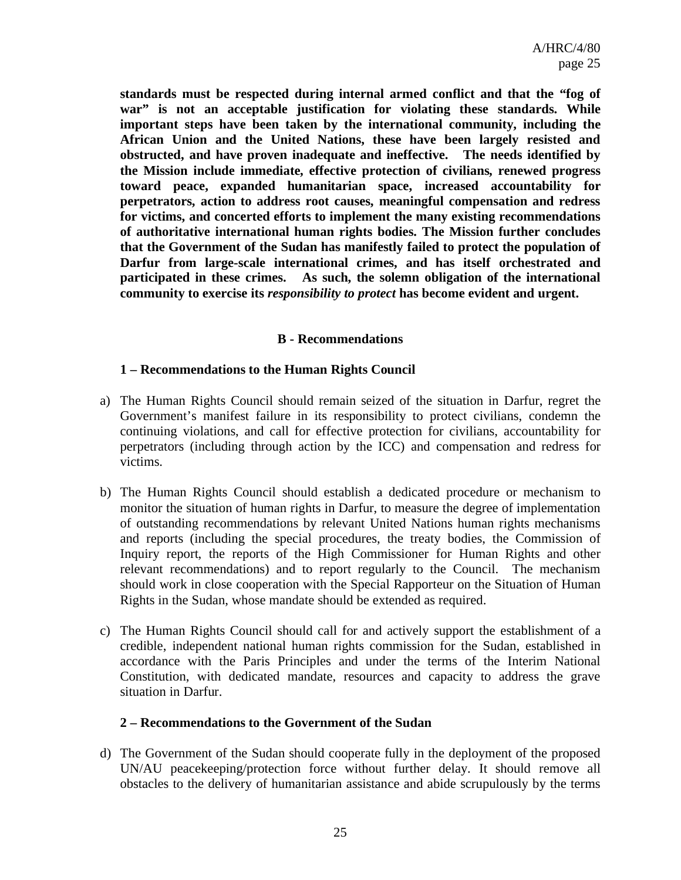**standards must be respected during internal armed conflict and that the "fog of war" is not an acceptable justification for violating these standards. While important steps have been taken by the international community, including the African Union and the United Nations, these have been largely resisted and obstructed, and have proven inadequate and ineffective. The needs identified by the Mission include immediate, effective protection of civilians, renewed progress toward peace, expanded humanitarian space, increased accountability for perpetrators, action to address root causes, meaningful compensation and redress for victims, and concerted efforts to implement the many existing recommendations of authoritative international human rights bodies. The Mission further concludes that the Government of the Sudan has manifestly failed to protect the population of Darfur from large-scale international crimes, and has itself orchestrated and participated in these crimes. As such, the solemn obligation of the international community to exercise its** *responsibility to protect* **has become evident and urgent.** 

#### **B - Recommendations**

#### **1 – Recommendations to the Human Rights Council**

- a) The Human Rights Council should remain seized of the situation in Darfur, regret the Government's manifest failure in its responsibility to protect civilians, condemn the continuing violations, and call for effective protection for civilians, accountability for perpetrators (including through action by the ICC) and compensation and redress for victims.
- b) The Human Rights Council should establish a dedicated procedure or mechanism to monitor the situation of human rights in Darfur, to measure the degree of implementation of outstanding recommendations by relevant United Nations human rights mechanisms and reports (including the special procedures, the treaty bodies, the Commission of Inquiry report, the reports of the High Commissioner for Human Rights and other relevant recommendations) and to report regularly to the Council. The mechanism should work in close cooperation with the Special Rapporteur on the Situation of Human Rights in the Sudan, whose mandate should be extended as required.
- c) The Human Rights Council should call for and actively support the establishment of a credible, independent national human rights commission for the Sudan, established in accordance with the Paris Principles and under the terms of the Interim National Constitution, with dedicated mandate, resources and capacity to address the grave situation in Darfur.

#### **2 – Recommendations to the Government of the Sudan**

d) The Government of the Sudan should cooperate fully in the deployment of the proposed UN/AU peacekeeping/protection force without further delay. It should remove all obstacles to the delivery of humanitarian assistance and abide scrupulously by the terms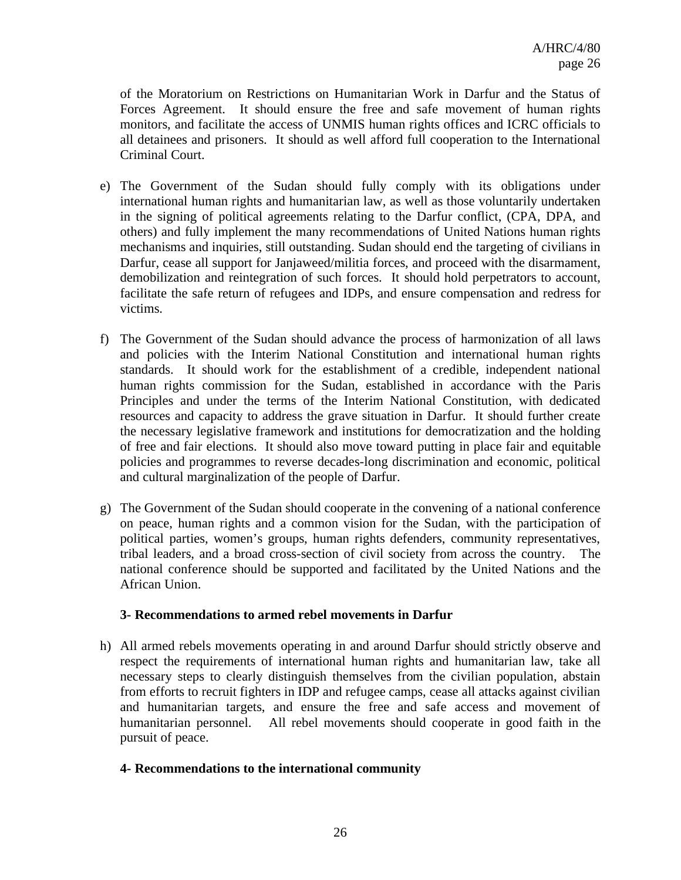of the Moratorium on Restrictions on Humanitarian Work in Darfur and the Status of Forces Agreement. It should ensure the free and safe movement of human rights monitors, and facilitate the access of UNMIS human rights offices and ICRC officials to all detainees and prisoners. It should as well afford full cooperation to the International Criminal Court.

- e) The Government of the Sudan should fully comply with its obligations under international human rights and humanitarian law, as well as those voluntarily undertaken in the signing of political agreements relating to the Darfur conflict, (CPA, DPA, and others) and fully implement the many recommendations of United Nations human rights mechanisms and inquiries, still outstanding. Sudan should end the targeting of civilians in Darfur, cease all support for Janjaweed/militia forces, and proceed with the disarmament, demobilization and reintegration of such forces. It should hold perpetrators to account, facilitate the safe return of refugees and IDPs, and ensure compensation and redress for victims.
- f) The Government of the Sudan should advance the process of harmonization of all laws and policies with the Interim National Constitution and international human rights standards. It should work for the establishment of a credible, independent national human rights commission for the Sudan, established in accordance with the Paris Principles and under the terms of the Interim National Constitution, with dedicated resources and capacity to address the grave situation in Darfur. It should further create the necessary legislative framework and institutions for democratization and the holding of free and fair elections. It should also move toward putting in place fair and equitable policies and programmes to reverse decades-long discrimination and economic, political and cultural marginalization of the people of Darfur.
- g) The Government of the Sudan should cooperate in the convening of a national conference on peace, human rights and a common vision for the Sudan, with the participation of political parties, women's groups, human rights defenders, community representatives, tribal leaders, and a broad cross-section of civil society from across the country. national conference should be supported and facilitated by the United Nations and the African Union.

#### **3- Recommendations to armed rebel movements in Darfur**

h) All armed rebels movements operating in and around Darfur should strictly observe and respect the requirements of international human rights and humanitarian law, take all necessary steps to clearly distinguish themselves from the civilian population, abstain from efforts to recruit fighters in IDP and refugee camps, cease all attacks against civilian and humanitarian targets, and ensure the free and safe access and movement of humanitarian personnel. All rebel movements should cooperate in good faith in the pursuit of peace.

#### **4- Recommendations to the international community**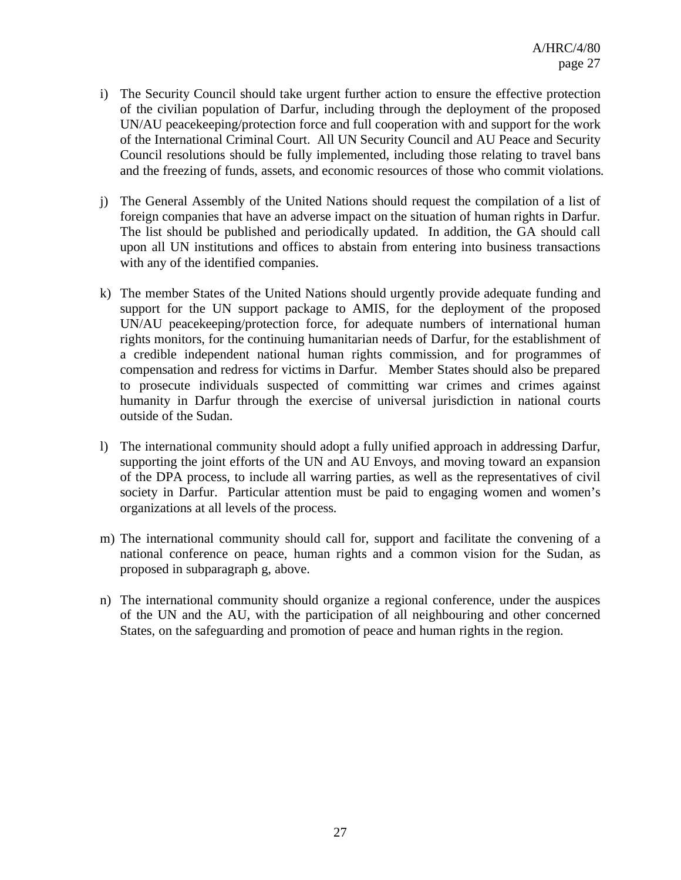- i) The Security Council should take urgent further action to ensure the effective protection of the civilian population of Darfur, including through the deployment of the proposed UN/AU peacekeeping/protection force and full cooperation with and support for the work of the International Criminal Court. All UN Security Council and AU Peace and Security Council resolutions should be fully implemented, including those relating to travel bans and the freezing of funds, assets, and economic resources of those who commit violations.
- j) The General Assembly of the United Nations should request the compilation of a list of foreign companies that have an adverse impact on the situation of human rights in Darfur. The list should be published and periodically updated. In addition, the GA should call upon all UN institutions and offices to abstain from entering into business transactions with any of the identified companies.
- k) The member States of the United Nations should urgently provide adequate funding and support for the UN support package to AMIS, for the deployment of the proposed UN/AU peacekeeping/protection force, for adequate numbers of international human rights monitors, for the continuing humanitarian needs of Darfur, for the establishment of a credible independent national human rights commission, and for programmes of compensation and redress for victims in Darfur. Member States should also be prepared to prosecute individuals suspected of committing war crimes and crimes against humanity in Darfur through the exercise of universal jurisdiction in national courts outside of the Sudan.
- l) The international community should adopt a fully unified approach in addressing Darfur, supporting the joint efforts of the UN and AU Envoys, and moving toward an expansion of the DPA process, to include all warring parties, as well as the representatives of civil society in Darfur. Particular attention must be paid to engaging women and women's organizations at all levels of the process.
- m) The international community should call for, support and facilitate the convening of a national conference on peace, human rights and a common vision for the Sudan, as proposed in subparagraph g, above.
- n) The international community should organize a regional conference, under the auspices of the UN and the AU, with the participation of all neighbouring and other concerned States, on the safeguarding and promotion of peace and human rights in the region.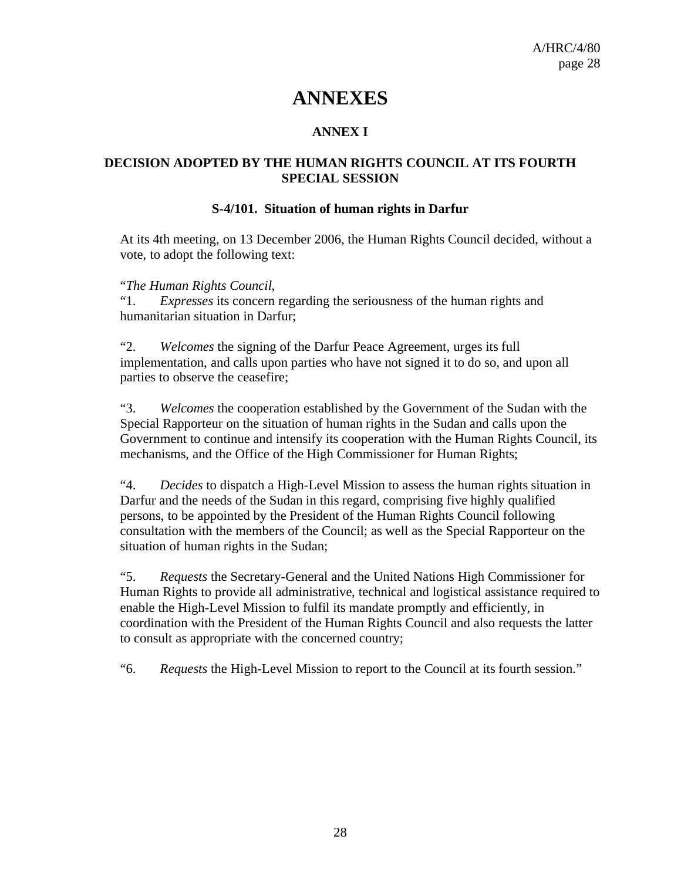# **ANNEXES**

## **ANNEX I**

### **DECISION ADOPTED BY THE HUMAN RIGHTS COUNCIL AT ITS FOURTH SPECIAL SESSION**

#### **S-4/101. Situation of human rights in Darfur**

At its 4th meeting, on 13 December 2006, the Human Rights Council decided, without a vote, to adopt the following text:

"*The Human Rights Council*,

 "1. *Expresses* its concern regarding the seriousness of the human rights and humanitarian situation in Darfur;

"2. *Welcomes* the signing of the Darfur Peace Agreement, urges its full implementation, and calls upon parties who have not signed it to do so, and upon all parties to observe the ceasefire;

"3. *Welcomes* the cooperation established by the Government of the Sudan with the Special Rapporteur on the situation of human rights in the Sudan and calls upon the Government to continue and intensify its cooperation with the Human Rights Council, its mechanisms, and the Office of the High Commissioner for Human Rights;

"4. *Decides* to dispatch a High-Level Mission to assess the human rights situation in Darfur and the needs of the Sudan in this regard, comprising five highly qualified persons, to be appointed by the President of the Human Rights Council following consultation with the members of the Council; as well as the Special Rapporteur on the situation of human rights in the Sudan;

"5. *Requests* the Secretary-General and the United Nations High Commissioner for Human Rights to provide all administrative, technical and logistical assistance required to enable the High-Level Mission to fulfil its mandate promptly and efficiently, in coordination with the President of the Human Rights Council and also requests the latter to consult as appropriate with the concerned country;

"6. *Requests* the High-Level Mission to report to the Council at its fourth session."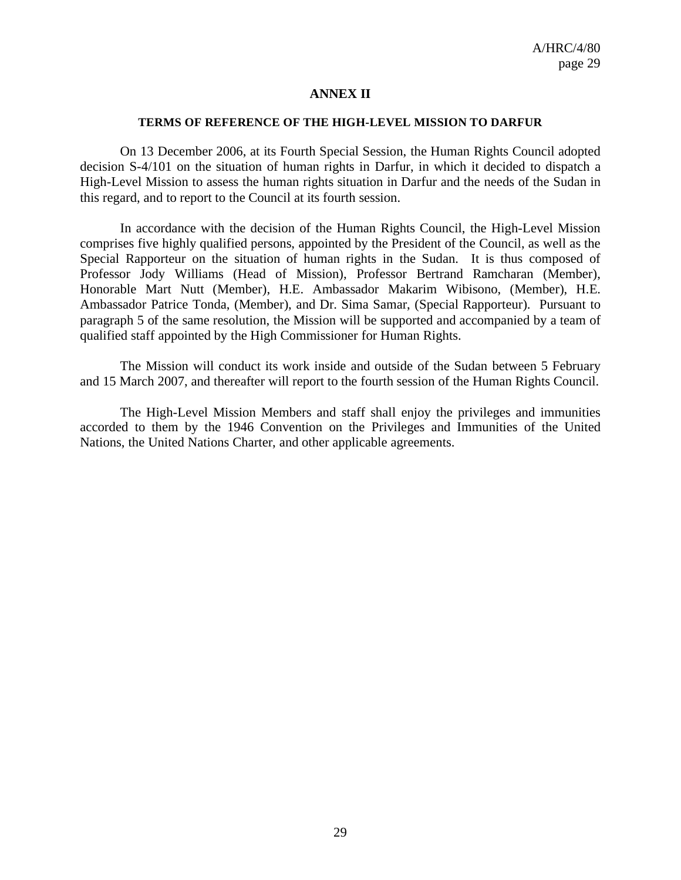#### **ANNEX II**

#### **TERMS OF REFERENCE OF THE HIGH-LEVEL MISSION TO DARFUR**

On 13 December 2006, at its Fourth Special Session, the Human Rights Council adopted decision S-4/101 on the situation of human rights in Darfur, in which it decided to dispatch a High-Level Mission to assess the human rights situation in Darfur and the needs of the Sudan in this regard, and to report to the Council at its fourth session.

In accordance with the decision of the Human Rights Council, the High-Level Mission comprises five highly qualified persons, appointed by the President of the Council, as well as the Special Rapporteur on the situation of human rights in the Sudan. It is thus composed of Professor Jody Williams (Head of Mission), Professor Bertrand Ramcharan (Member), Honorable Mart Nutt (Member), H.E. Ambassador Makarim Wibisono, (Member), H.E. Ambassador Patrice Tonda, (Member), and Dr. Sima Samar, (Special Rapporteur). Pursuant to paragraph 5 of the same resolution, the Mission will be supported and accompanied by a team of qualified staff appointed by the High Commissioner for Human Rights.

The Mission will conduct its work inside and outside of the Sudan between 5 February and 15 March 2007, and thereafter will report to the fourth session of the Human Rights Council.

The High-Level Mission Members and staff shall enjoy the privileges and immunities accorded to them by the 1946 Convention on the Privileges and Immunities of the United Nations, the United Nations Charter, and other applicable agreements.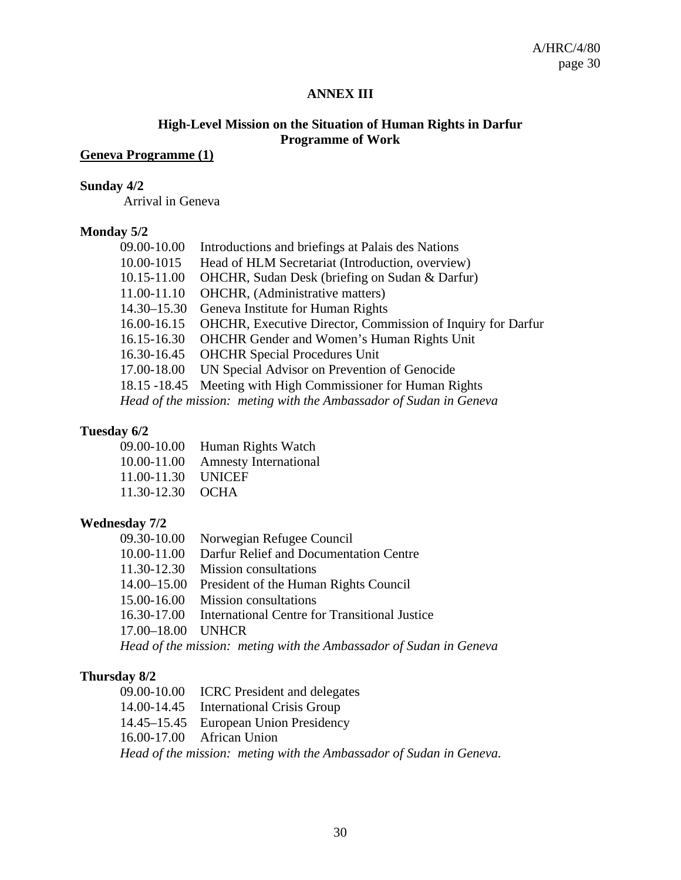#### **ANNEX III**

### **High-Level Mission on the Situation of Human Rights in Darfur Programme of Work**

## **Geneva Programme (1)**

#### **Sunday 4/2**

Arrival in Geneva

#### **Monday 5/2**

| 09.00-10.00                                                        | Introductions and briefings at Palais des Nations           |  |
|--------------------------------------------------------------------|-------------------------------------------------------------|--|
| 10.00-1015                                                         | Head of HLM Secretariat (Introduction, overview)            |  |
| 10.15-11.00                                                        | OHCHR, Sudan Desk (briefing on Sudan & Darfur)              |  |
| 11.00-11.10                                                        | <b>OHCHR</b> , (Administrative matters)                     |  |
| 14.30–15.30                                                        | Geneva Institute for Human Rights                           |  |
| 16.00-16.15                                                        | OHCHR, Executive Director, Commission of Inquiry for Darfur |  |
| 16.15-16.30                                                        | <b>OHCHR Gender and Women's Human Rights Unit</b>           |  |
| 16.30-16.45                                                        | <b>OHCHR Special Procedures Unit</b>                        |  |
| 17.00-18.00                                                        | UN Special Advisor on Prevention of Genocide                |  |
| 18.15 - 18.45                                                      | Meeting with High Commissioner for Human Rights             |  |
| Head of the mission: meting with the Ambassador of Sudan in Geneva |                                                             |  |
|                                                                    |                                                             |  |

#### **Tuesday 6/2**

|                    | 09.00-10.00 Human Rights Watch    |
|--------------------|-----------------------------------|
|                    | 10.00-11.00 Amnesty International |
| 11.00-11.30 UNICEF |                                   |
| 11.30-12.30 OCHA   |                                   |

#### **Wednesday 7/2**

|                   | 09.30-10.00 Norwegian Refugee Council                              |
|-------------------|--------------------------------------------------------------------|
|                   | 10.00-11.00 Darfur Relief and Documentation Centre                 |
|                   | 11.30-12.30 Mission consultations                                  |
|                   | 14.00–15.00 President of the Human Rights Council                  |
|                   | 15.00-16.00 Mission consultations                                  |
|                   | 16.30-17.00 International Centre for Transitional Justice          |
| 17.00–18.00 UNHCR |                                                                    |
|                   | Head of the mission: meting with the Ambassador of Sudan in Geneva |

#### **Thursday 8/2**

09.00-10.00 ICRC President and delegates 14.00-14.45 International Crisis Group 14.45–15.45 European Union Presidency 16.00-17.00 African Union *Head of the mission: meting with the Ambassador of Sudan in Geneva.*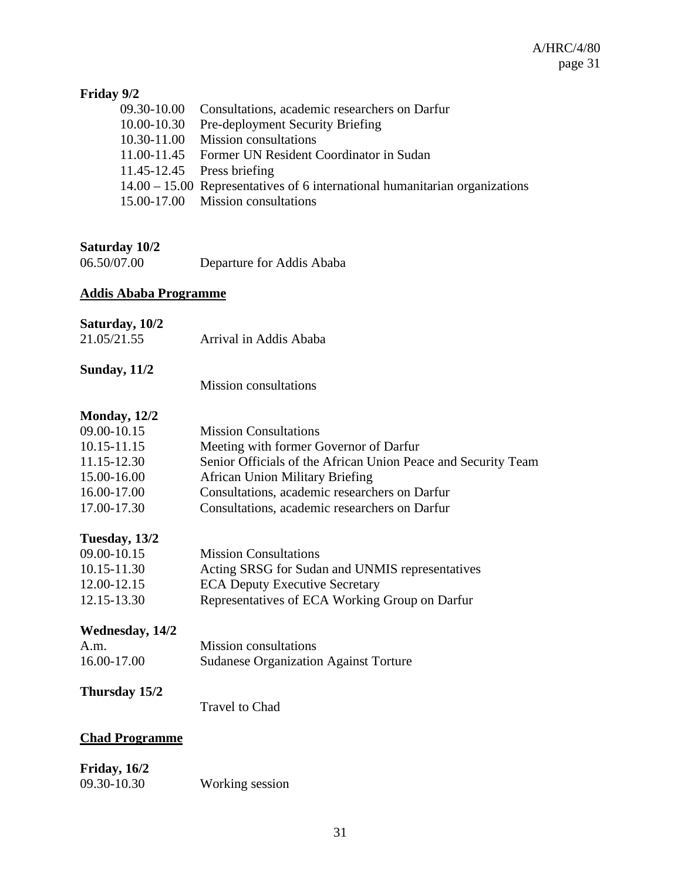## **Friday 9/2**

| 09.30-10.00 Consultations, academic researchers on Darfur                     |
|-------------------------------------------------------------------------------|
| 10.00-10.30 Pre-deployment Security Briefing                                  |
| 10.30-11.00 Mission consultations                                             |
| 11.00-11.45 Former UN Resident Coordinator in Sudan                           |
| $11.45 - 12.45$ Press briefing                                                |
| $14.00 - 15.00$ Representatives of 6 international humanitarian organizations |
| 15.00-17.00 Mission consultations                                             |
|                                                                               |

## **Saturday 10/2**

| 06.50/07.00 | Departure for Addis Ababa |
|-------------|---------------------------|
|             |                           |

## **Addis Ababa Programme**

### **Saturday, 10/2**

| 21.05/21.55 | Arrival in Addis Ababa |
|-------------|------------------------|

## **Sunday, 11/2**

Mission consultations

## **Monday, 12/2**

| 09.00-10.15 | <b>Mission Consultations</b>                                  |
|-------------|---------------------------------------------------------------|
| 10.15-11.15 | Meeting with former Governor of Darfur                        |
| 11.15-12.30 | Senior Officials of the African Union Peace and Security Team |
| 15.00-16.00 | <b>African Union Military Briefing</b>                        |
| 16.00-17.00 | Consultations, academic researchers on Darfur                 |
| 17.00-17.30 | Consultations, academic researchers on Darfur                 |
|             |                                                               |

## **Tuesday, 13/2**

| 09.00-10.15 | <b>Mission Consultations</b>                    |
|-------------|-------------------------------------------------|
| 10.15-11.30 | Acting SRSG for Sudan and UNMIS representatives |
| 12.00-12.15 | <b>ECA Deputy Executive Secretary</b>           |
| 12.15-13.30 | Representatives of ECA Working Group on Darfur  |

## **Wednesday, 14/2**

| A.m.        | <b>Mission</b> consultations                 |
|-------------|----------------------------------------------|
| 16.00-17.00 | <b>Sudanese Organization Against Torture</b> |

## **Thursday 15/2**

Travel to Chad

## **Chad Programme**

## **Friday, 16/2**

| -------,,, , --- |                 |
|------------------|-----------------|
| 09.30-10.30      | Working session |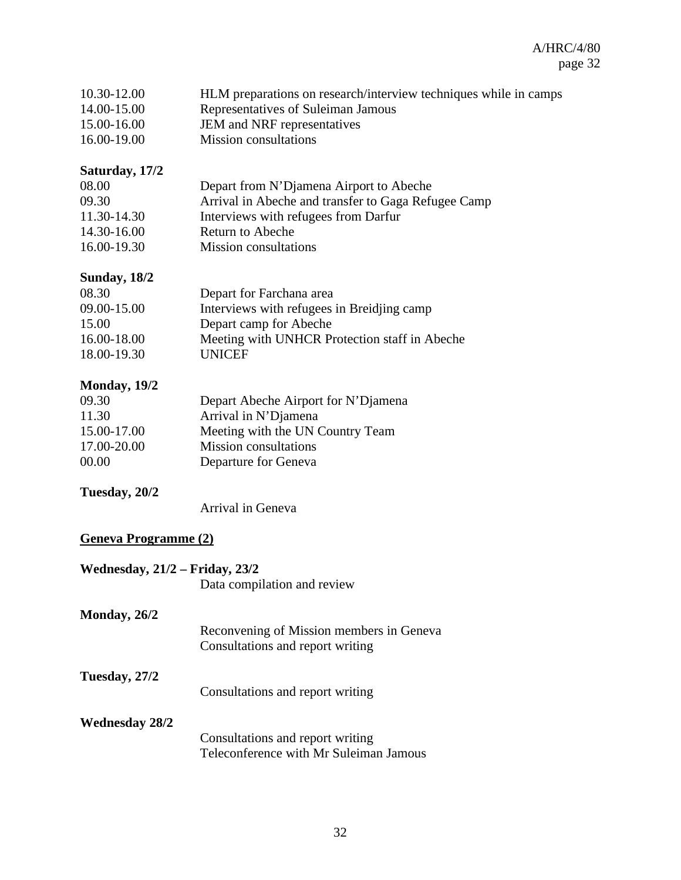| 10.30-12.00 | HLM preparations on research/interview techniques while in camps |
|-------------|------------------------------------------------------------------|
| 14.00-15.00 | Representatives of Suleiman Jamous                               |
| 15.00-16.00 | JEM and NRF representatives                                      |
| 16.00-19.00 | <b>Mission</b> consultations                                     |

### **Saturday, 17/2**

| 08.00       | Depart from N'Djamena Airport to Abeche             |
|-------------|-----------------------------------------------------|
| 09.30       | Arrival in Abeche and transfer to Gaga Refugee Camp |
| 11.30-14.30 | Interviews with refugees from Darfur                |
| 14.30-16.00 | Return to Abeche                                    |
| 16.00-19.30 | <b>Mission</b> consultations                        |

## **Sunday, 18/2**

| 08.30       | Depart for Farchana area                      |
|-------------|-----------------------------------------------|
| 09.00-15.00 | Interviews with refugees in Breiding camp     |
| 15.00       | Depart camp for Abeche                        |
| 16.00-18.00 | Meeting with UNHCR Protection staff in Abeche |
| 18.00-19.30 | <b>UNICEF</b>                                 |

## **Monday, 19/2**

| 09.30       | Depart Abeche Airport for N'Djamena |
|-------------|-------------------------------------|
| 11.30       | Arrival in N'Djamena                |
| 15.00-17.00 | Meeting with the UN Country Team    |
| 17.00-20.00 | <b>Mission</b> consultations        |
| 00.00       | Departure for Geneva                |

## **Tuesday, 20/2**

Arrival in Geneva

## **Geneva Programme (2)**

| Wednesday, $21/2$ – Friday, $23/2$ |                                                                              |
|------------------------------------|------------------------------------------------------------------------------|
|                                    | Data compilation and review                                                  |
| Monday, 26/2                       |                                                                              |
|                                    | Reconvening of Mission members in Geneva<br>Consultations and report writing |
| Tuesday, 27/2                      | Consultations and report writing                                             |
| <b>Wednesday 28/2</b>              |                                                                              |
|                                    | Consultations and report writing                                             |
|                                    | Teleconference with Mr Suleiman Jamous                                       |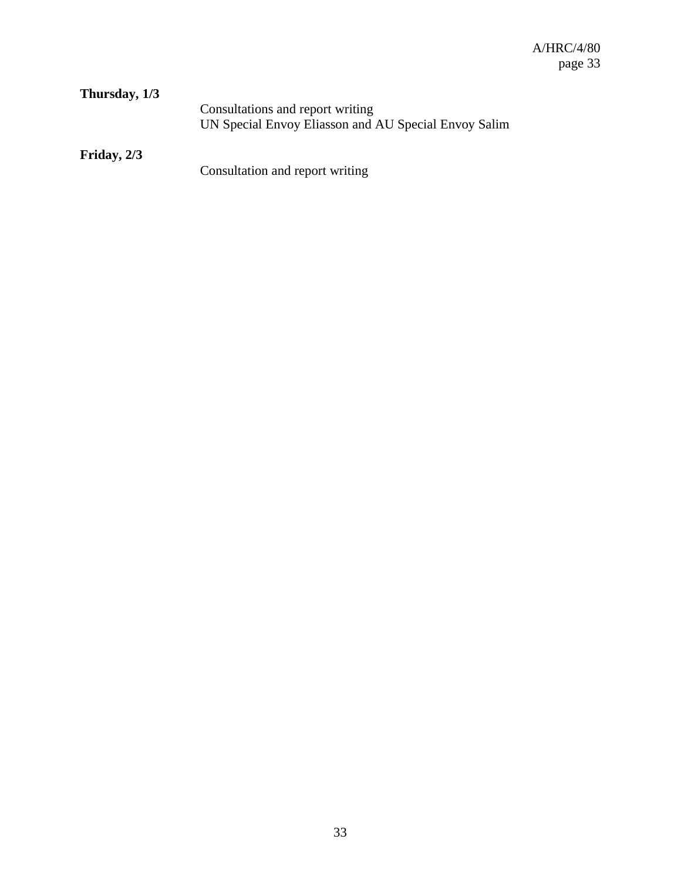| Thursday, 1/3 |                                                      |
|---------------|------------------------------------------------------|
|               | Consultations and report writing                     |
|               | UN Special Envoy Eliasson and AU Special Envoy Salim |
|               |                                                      |

**Friday, 2/3** 

Consultation and report writing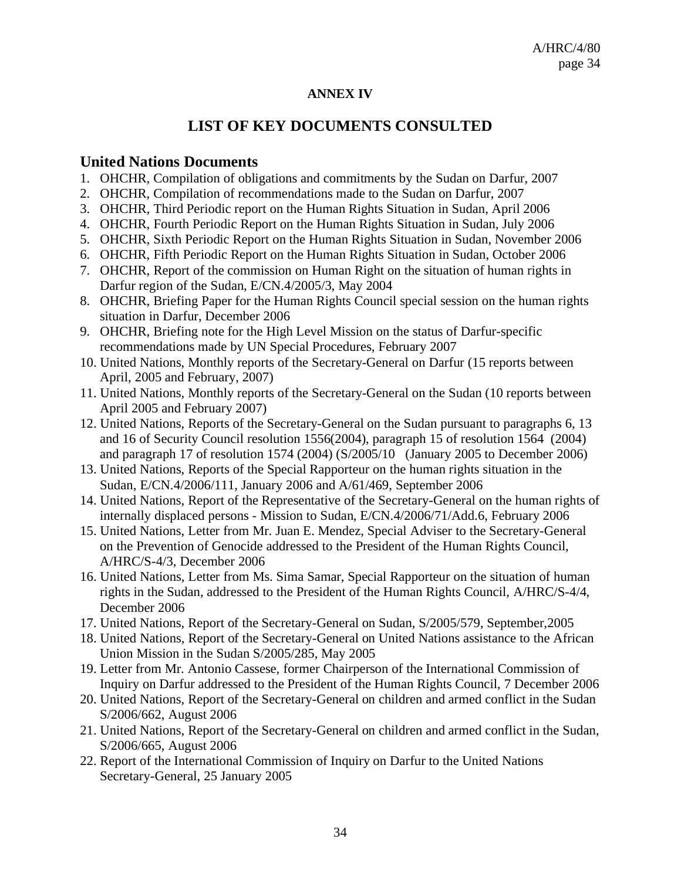### **ANNEX IV**

## **LIST OF KEY DOCUMENTS CONSULTED**

## **United Nations Documents**

- 1. OHCHR, Compilation of obligations and commitments by the Sudan on Darfur, 2007
- 2. OHCHR, Compilation of recommendations made to the Sudan on Darfur, 2007
- 3. OHCHR, Third Periodic report on the Human Rights Situation in Sudan, April 2006
- 4. OHCHR, Fourth Periodic Report on the Human Rights Situation in Sudan, July 2006
- 5. OHCHR, Sixth Periodic Report on the Human Rights Situation in Sudan, November 2006
- 6. OHCHR, Fifth Periodic Report on the Human Rights Situation in Sudan, October 2006
- 7. OHCHR, Report of the commission on Human Right on the situation of human rights in Darfur region of the Sudan, E/CN.4/2005/3, May 2004
- 8. OHCHR, Briefing Paper for the Human Rights Council special session on the human rights situation in Darfur, December 2006
- 9. OHCHR, Briefing note for the High Level Mission on the status of Darfur-specific recommendations made by UN Special Procedures, February 2007
- 10. United Nations, Monthly reports of the Secretary-General on Darfur (15 reports between April, 2005 and February, 2007)
- 11. United Nations, Monthly reports of the Secretary-General on the Sudan (10 reports between April 2005 and February 2007)
- 12. United Nations, Reports of the Secretary-General on the Sudan pursuant to paragraphs 6, 13 and 16 of Security Council resolution 1556(2004), paragraph 15 of resolution 1564 (2004) and paragraph 17 of resolution 1574 (2004) (S/2005/10 (January 2005 to December 2006)
- 13. United Nations, Reports of the Special Rapporteur on the human rights situation in the Sudan, E/CN.4/2006/111, January 2006 and A/61/469, September 2006
- 14. United Nations, Report of the Representative of the Secretary-General on the human rights of internally displaced persons - Mission to Sudan, E/CN.4/2006/71/Add.6, February 2006
- 15. United Nations, Letter from Mr. Juan E. Mendez, Special Adviser to the Secretary-General on the Prevention of Genocide addressed to the President of the Human Rights Council, A/HRC/S-4/3, December 2006
- 16. United Nations, Letter from Ms. Sima Samar, Special Rapporteur on the situation of human rights in the Sudan, addressed to the President of the Human Rights Council, A/HRC/S-4/4, December 2006
- 17. United Nations, Report of the Secretary-General on Sudan, S/2005/579, September,2005
- 18. United Nations, Report of the Secretary-General on United Nations assistance to the African Union Mission in the Sudan S/2005/285, May 2005
- 19. Letter from Mr. Antonio Cassese, former Chairperson of the International Commission of Inquiry on Darfur addressed to the President of the Human Rights Council, 7 December 2006
- 20. United Nations, Report of the Secretary-General on children and armed conflict in the Sudan S/2006/662, August 2006
- 21. United Nations, Report of the Secretary-General on children and armed conflict in the Sudan, S/2006/665, August 2006
- 22. Report of the International Commission of Inquiry on Darfur to the United Nations Secretary-General, 25 January 2005